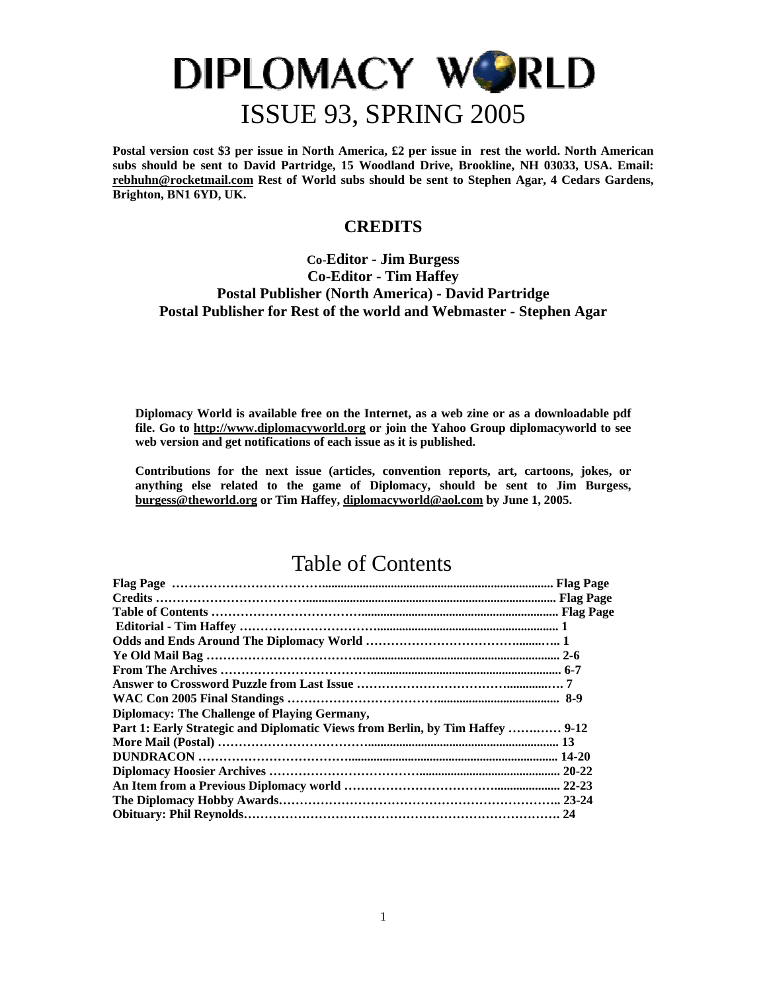**Postal version cost \$3 per issue in North America, £2 per issue in rest the world. North American subs should be sent to David Partridge, 15 Woodland Drive, Brookline, NH 03033, USA. Email: [rebhuhn@rocketmail.com](mailto:rebhuhn@rocketmail.com) Rest of World subs should be sent to Stephen Agar, 4 Cedars Gardens, Brighton, BN1 6YD, UK.** 

### **CREDITS**

### **Co-Editor - Jim Burgess Co-Editor - Tim Haffey Postal Publisher (North America) - David Partridge Postal Publisher for Rest of the world and Webmaster - Stephen Agar**

**Diplomacy World is available free on the Internet, as a web zine or as a downloadable pdf file. Go to [http://www.diplomacyworld.org](http://www.diplomacyworld.org/) or join the Yahoo Group diplomacyworld to see web version and get notifications of each issue as it is published.** 

**Contributions for the next issue (articles, convention reports, art, cartoons, jokes, or anything else related to the game of Diplomacy, should be sent to Jim Burgess, [burgess@theworld.org](mailto:burgess@theworld.org) or Tim Haffey, [diplomacyworld@aol.com](mailto:diplomacyworld@aol.com) by June 1, 2005.** 

### Table of Contents

| Diplomacy: The Challenge of Playing Germany,                                  |  |
|-------------------------------------------------------------------------------|--|
| Part 1: Early Strategic and Diplomatic Views from Berlin, by Tim Haffey  9-12 |  |
|                                                                               |  |
|                                                                               |  |
|                                                                               |  |
|                                                                               |  |
|                                                                               |  |
|                                                                               |  |
|                                                                               |  |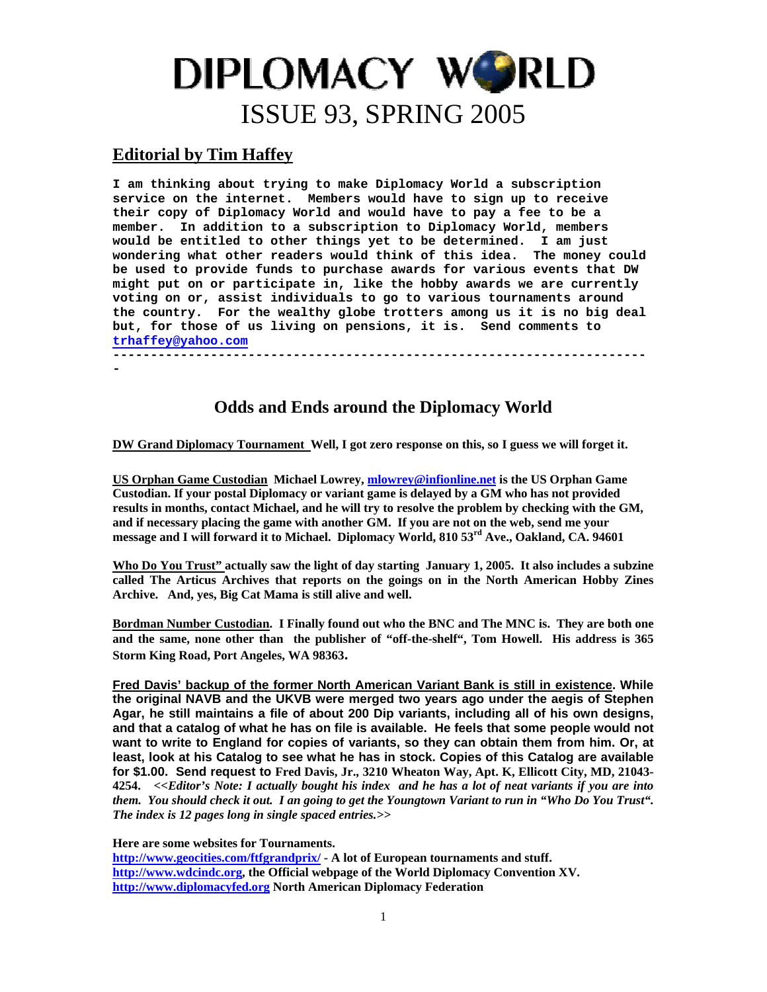### **Editorial by Tim Haffey**

**I am thinking about trying to make Diplomacy World a subscription service on the internet. Members would have to sign up to receive their copy of Diplomacy World and would have to pay a fee to be a member. In addition to a subscription to Diplomacy World, members would be entitled to other things yet to be determined. I am just wondering what other readers would think of this idea. The money could be used to provide funds to purchase awards for various events that DW might put on or participate in, like the hobby awards we are currently voting on or, assist individuals to go to various tournaments around the country. For the wealthy globe trotters among us it is no big deal but, for those of us living on pensions, it is. Send comments to [trhaffey@yahoo.com](mailto:trhaffey@yahoo.com) -----------------------------------------------------------------------**

**-** 

### **Odds and Ends around the Diplomacy World**

**DW Grand Diplomacy Tournament Well, I got zero response on this, so I guess we will forget it.** 

**US Orphan Game Custodian Michael Lowrey, [mlowrey@infionline.net](mailto:mlowrey@infionline.net) is the US Orphan Game Custodian. If your postal Diplomacy or variant game is delayed by a GM who has not provided results in months, contact Michael, and he will try to resolve the problem by checking with the GM, and if necessary placing the game with another GM. If you are not on the web, send me your message and I will forward it to Michael. Diplomacy World, 810 53rd Ave., Oakland, CA. 94601** 

**Who Do You Trust" actually saw the light of day starting January 1, 2005. It also includes a subzine called The Articus Archives that reports on the goings on in the North American Hobby Zines Archive. And, yes, Big Cat Mama is still alive and well.** 

**Bordman Number Custodian. I Finally found out who the BNC and The MNC is. They are both one and the same, none other than the publisher of "off-the-shelf", Tom Howell. His address is 365 Storm King Road, Port Angeles, WA 98363.** 

**Fred Davis' backup of the former North American Variant Bank is still in existence. While the original NAVB and the UKVB were merged two years ago under the aegis of Stephen Agar, he still maintains a file of about 200 Dip variants, including all of his own designs, and that a catalog of what he has on file is available. He feels that some people would not want to write to England for copies of variants, so they can obtain them from him. Or, at least, look at his Catalog to see what he has in stock. Copies of this Catalog are available for \$1.00. Send request to Fred Davis, Jr., 3210 Wheaton Way, Apt. K, Ellicott City, MD, 21043- 4254.** *<<Editor's Note: I actually bought his index and he has a lot of neat variants if you are into them. You should check it out. I an going to get the Youngtown Variant to run in "Who Do You Trust". The index is 12 pages long in single spaced entries.>>* 

**Here are some websites for Tournaments.** 

**<http://www.geocities.com/ftfgrandprix/> - A lot of European tournaments and stuff. [http://www.wdcindc.org](http://www.wdcindc.org/), the Official webpage of the World Diplomacy Convention XV. [http://www.diplomacyfed.org](http://www.diplomacyfed.org/) North American Diplomacy Federation**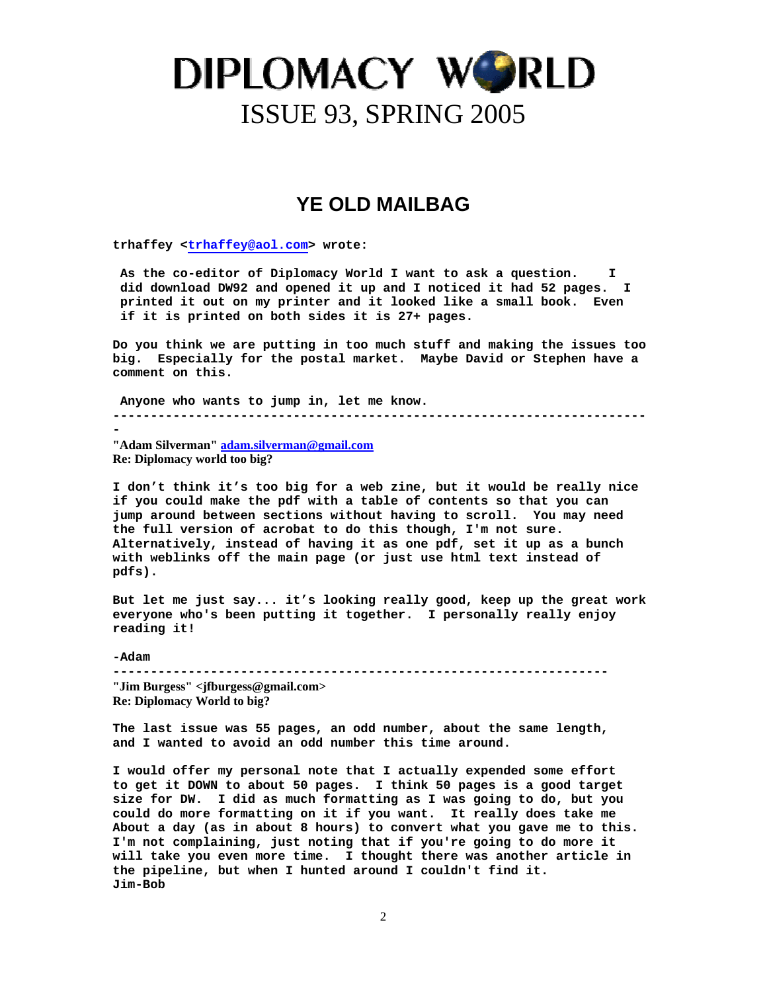### **YE OLD MAILBAG**

**trhaffey <trhaffey@aol.com> wrote:** 

As the co-editor of Diplomacy World I want to ask a question.  **did download DW92 and opened it up and I noticed it had 52 pages. I printed it out on my printer and it looked like a small book. Even if it is printed on both sides it is 27+ pages.** 

**Do you think we are putting in too much stuff and making the issues too big. Especially for the postal market. Maybe David or Stephen have a comment on this.** 

 **Anyone who wants to jump in, let me know. -----------------------------------------------------------------------**

**-** 

**"Adam Silverman" [adam.silverman@gmail.com](mailto:adam.silverman@gmail.com) Re: Diplomacy world too big?**

**I don't think it's too big for a web zine, but it would be really nice if you could make the pdf with a table of contents so that you can jump around between sections without having to scroll. You may need the full version of acrobat to do this though, I'm not sure. Alternatively, instead of having it as one pdf, set it up as a bunch with weblinks off the main page (or just use html text instead of pdfs).** 

**But let me just say... it's looking really good, keep up the great work everyone who's been putting it together. I personally really enjoy reading it!** 

**-Adam ------------------------------------------------------------------ "Jim Burgess" <jfburgess@gmail.com> Re: Diplomacy World to big?**

**The last issue was 55 pages, an odd number, about the same length, and I wanted to avoid an odd number this time around.** 

**I would offer my personal note that I actually expended some effort to get it DOWN to about 50 pages. I think 50 pages is a good target size for DW. I did as much formatting as I was going to do, but you could do more formatting on it if you want. It really does take me About a day (as in about 8 hours) to convert what you gave me to this. I'm not complaining, just noting that if you're going to do more it will take you even more time. I thought there was another article in the pipeline, but when I hunted around I couldn't find it. Jim-Bob**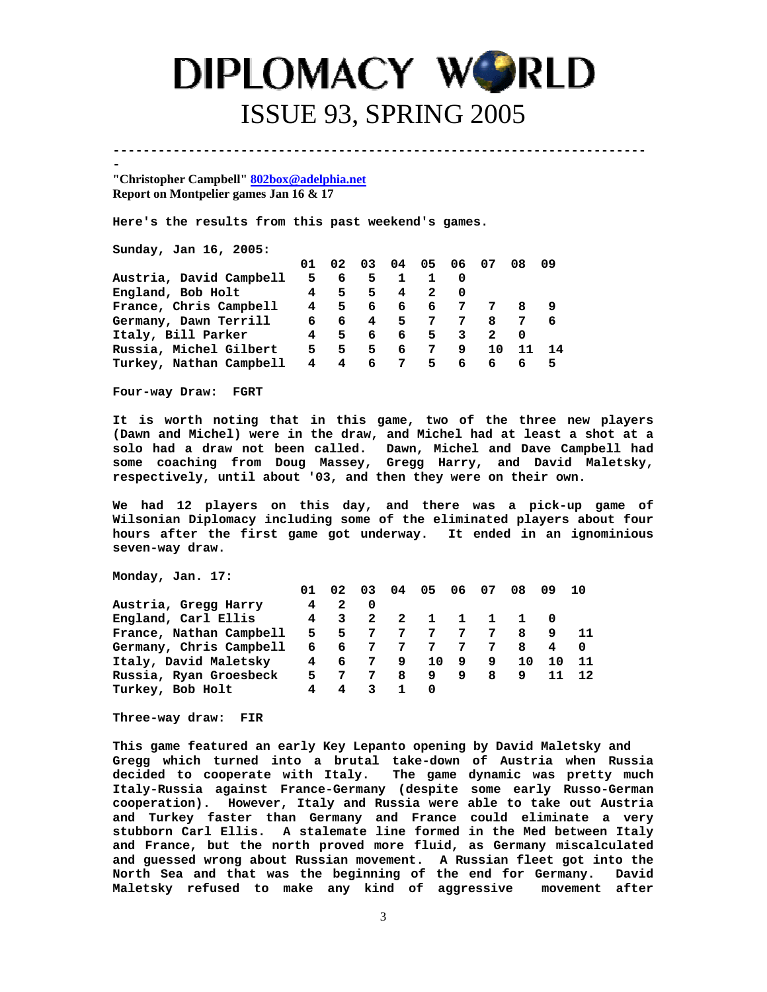**----------------------------------------------------------------------- -** 

**"Christopher Campbell" [802box@adelphia.net](mailto:802box@adelphia.net) Report on Montpelier games Jan 16 & 17**

**Here's the results from this past weekend's games.** 

**Sunday, Jan 16, 2005:** 

|                         | 01 | 02          | 03  | 04 05 06       |     |                | 07 | 08. | 09  |
|-------------------------|----|-------------|-----|----------------|-----|----------------|----|-----|-----|
| Austria, David Campbell | 5. | 6           | 5   |                |     |                |    |     |     |
| England, Bob Holt       | 4  | 5.          | 5.  | $\overline{4}$ | -2  |                |    |     |     |
| France, Chris Campbell  |    | $4 \quad 5$ |     | 66             | 6   | $\overline{7}$ |    |     |     |
| Germany, Dawn Terrill   | 6. |             | 6 4 |                | 5 7 | 7              | -8 | 7   | 6   |
| Italy, Bill Parker      |    | 4 5         | 6   | 6 5 3          |     |                | 2  |     |     |
| Russia, Michel Gilbert  | 5. | 5.          | 5.  | 6              | 7   | 9.             | 10 | 11  | -14 |
| Turkey, Nathan Campbell | 4  | 4           | 6   | 75             |     | 6 <sup>1</sup> | 6  |     | 5.  |

**Four-way Draw: FGRT** 

**It is worth noting that in this game, two of the three new players (Dawn and Michel) were in the draw, and Michel had at least a shot at a solo had a draw not been called. Dawn, Michel and Dave Campbell had some coaching from Doug Massey, Gregg Harry, and David Maletsky, respectively, until about '03, and then they were on their own.** 

**We had 12 players on this day, and there was a pick-up game of Wilsonian Diplomacy including some of the eliminated players about four hours after the first game got underway. It ended in an ignominious seven-way draw.** 

**Monday, Jan. 17:** 

|                         | 01             | 02                      | 03                      |   | 04 05 06 07  |             |   | 08           | 09 10 |      |
|-------------------------|----------------|-------------------------|-------------------------|---|--------------|-------------|---|--------------|-------|------|
| Austria, Gregg Harry    | $\overline{4}$ | 2                       | $\overline{\mathbf{0}}$ |   |              |             |   |              |       |      |
| England, Carl Ellis     |                | 4 3                     | $\overline{2}$          | 2 | $\mathbf{1}$ | $1 \quad 1$ |   | $\mathbf{1}$ |       |      |
| France, Nathan Campbell |                | 5 5                     | - 7                     | 7 |              | 77          | 7 | 8            | 9     | - 11 |
| Germany, Chris Campbell |                | 66                      | - 7                     | 7 | 7            | 7           | 7 | 8            | 4     | - 0  |
| Italy, David Maletsky   |                | 46                      | <b>7</b>                | 9 | 10           | - 9         | 9 | 10           | 10    | - 11 |
| Russia, Ryan Groesbeck  |                | 5 7                     | 7                       | 8 | 9            | 9           | 8 | 9            | 11    | 12   |
| Turkey, Bob Holt        | 4              | $\overline{\mathbf{4}}$ | -3                      | 1 | 0            |             |   |              |       |      |
|                         |                |                         |                         |   |              |             |   |              |       |      |

**Three-way draw: FIR** 

**This game featured an early Key Lepanto opening by David Maletsky and Gregg which turned into a brutal take-down of Austria when Russia decided to cooperate with Italy. The game dynamic was pretty much Italy-Russia against France-Germany (despite some early Russo-German cooperation). However, Italy and Russia were able to take out Austria and Turkey faster than Germany and France could eliminate a very stubborn Carl Ellis. A stalemate line formed in the Med between Italy and France, but the north proved more fluid, as Germany miscalculated and guessed wrong about Russian movement. A Russian fleet got into the North Sea and that was the beginning of the end for Germany. David Maletsky refused to make any kind of aggressive movement after**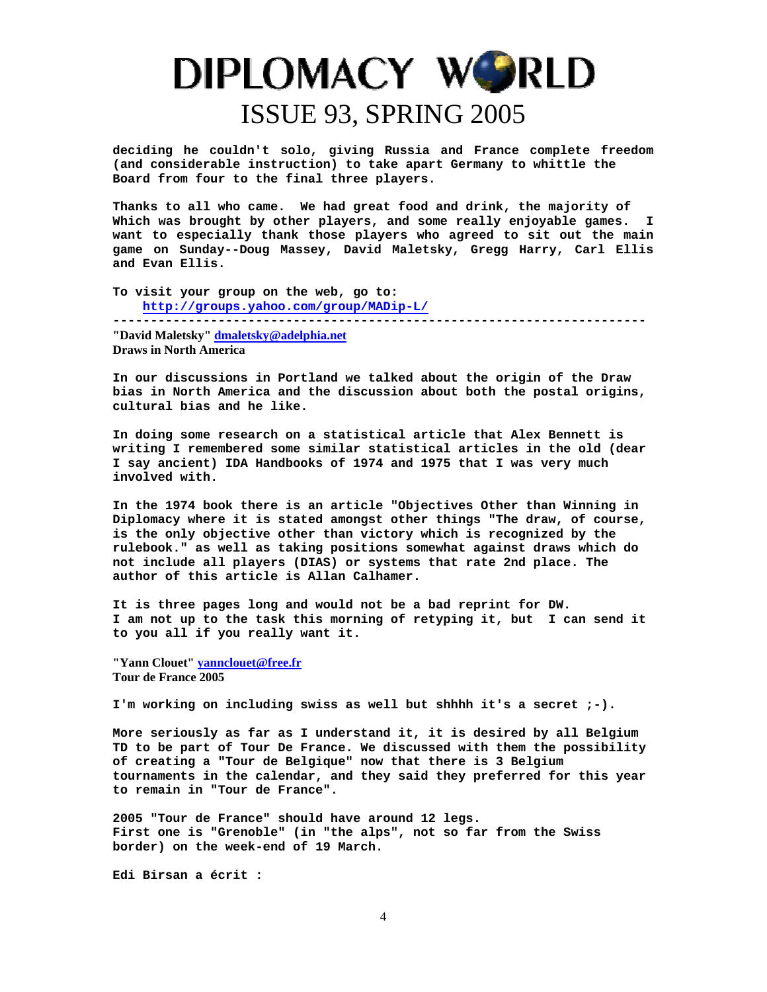**deciding he couldn't solo, giving Russia and France complete freedom (and considerable instruction) to take apart Germany to whittle the Board from four to the final three players.** 

**Thanks to all who came. We had great food and drink, the majority of Which was brought by other players, and some really enjoyable games. I want to especially thank those players who agreed to sit out the main game on Sunday--Doug Massey, David Maletsky, Gregg Harry, Carl Ellis and Evan Ellis.** 

**To visit your group on the web, go to: <http://groups.yahoo.com/group/MADip-L/>**

**-----------------------------------------------------------------------** 

**"David Maletsky" [dmaletsky@adelphia.net](mailto:dmaletsky@adelphia.net) Draws in North America**

**In our discussions in Portland we talked about the origin of the Draw bias in North America and the discussion about both the postal origins, cultural bias and he like.** 

**In doing some research on a statistical article that Alex Bennett is writing I remembered some similar statistical articles in the old (dear I say ancient) IDA Handbooks of 1974 and 1975 that I was very much involved with.** 

**In the 1974 book there is an article "Objectives Other than Winning in Diplomacy where it is stated amongst other things "The draw, of course, is the only objective other than victory which is recognized by the rulebook." as well as taking positions somewhat against draws which do not include all players (DIAS) or systems that rate 2nd place. The author of this article is Allan Calhamer.** 

**It is three pages long and would not be a bad reprint for DW. I am not up to the task this morning of retyping it, but I can send it to you all if you really want it.** 

**"Yann Clouet" [yannclouet@free.fr](mailto:yannclouet@free.fr) Tour de France 2005** 

**I'm working on including swiss as well but shhhh it's a secret ;-).** 

**More seriously as far as I understand it, it is desired by all Belgium TD to be part of Tour De France. We discussed with them the possibility of creating a "Tour de Belgique" now that there is 3 Belgium tournaments in the calendar, and they said they preferred for this year to remain in "Tour de France".** 

**2005 "Tour de France" should have around 12 legs. First one is "Grenoble" (in "the alps", not so far from the Swiss border) on the week-end of 19 March.** 

**Edi Birsan a écrit :**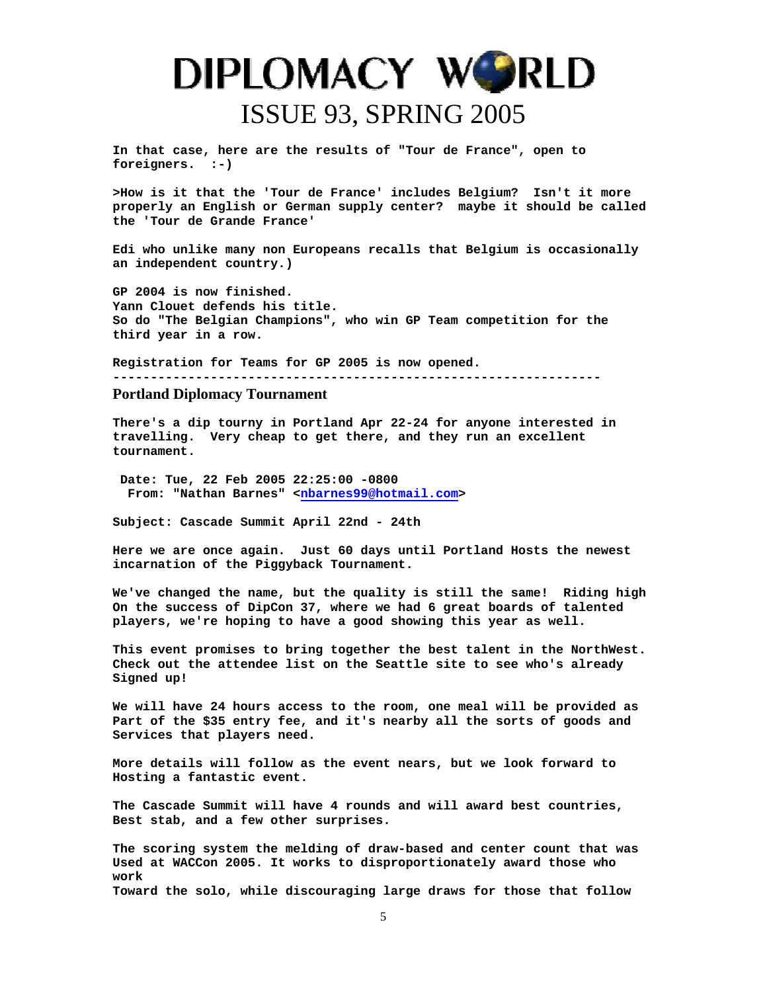**In that case, here are the results of "Tour de France", open to foreigners. :-)** 

**>How is it that the 'Tour de France' includes Belgium? Isn't it more properly an English or German supply center? maybe it should be called the 'Tour de Grande France'** 

**Edi who unlike many non Europeans recalls that Belgium is occasionally an independent country.)** 

**GP 2004 is now finished. Yann Clouet defends his title. So do "The Belgian Champions", who win GP Team competition for the third year in a row.** 

**Registration for Teams for GP 2005 is now opened.** 

**-----------------------------------------------------------------** 

#### **Portland Diplomacy Tournament**

**There's a dip tourny in Portland Apr 22-24 for anyone interested in travelling. Very cheap to get there, and they run an excellent tournament.** 

 **Date: Tue, 22 Feb 2005 22:25:00 -0800 From: "Nathan Barnes" <nbarnes99@hotmail.com>** 

**Subject: Cascade Summit April 22nd - 24th** 

**Here we are once again. Just 60 days until Portland Hosts the newest incarnation of the Piggyback Tournament.** 

**We've changed the name, but the quality is still the same! Riding high On the success of DipCon 37, where we had 6 great boards of talented players, we're hoping to have a good showing this year as well.** 

**This event promises to bring together the best talent in the NorthWest. Check out the attendee list on the Seattle site to see who's already Signed up!** 

**We will have 24 hours access to the room, one meal will be provided as Part of the \$35 entry fee, and it's nearby all the sorts of goods and Services that players need.** 

**More details will follow as the event nears, but we look forward to Hosting a fantastic event.** 

**The Cascade Summit will have 4 rounds and will award best countries, Best stab, and a few other surprises.** 

**The scoring system the melding of draw-based and center count that was Used at WACCon 2005. It works to disproportionately award those who work Toward the solo, while discouraging large draws for those that follow**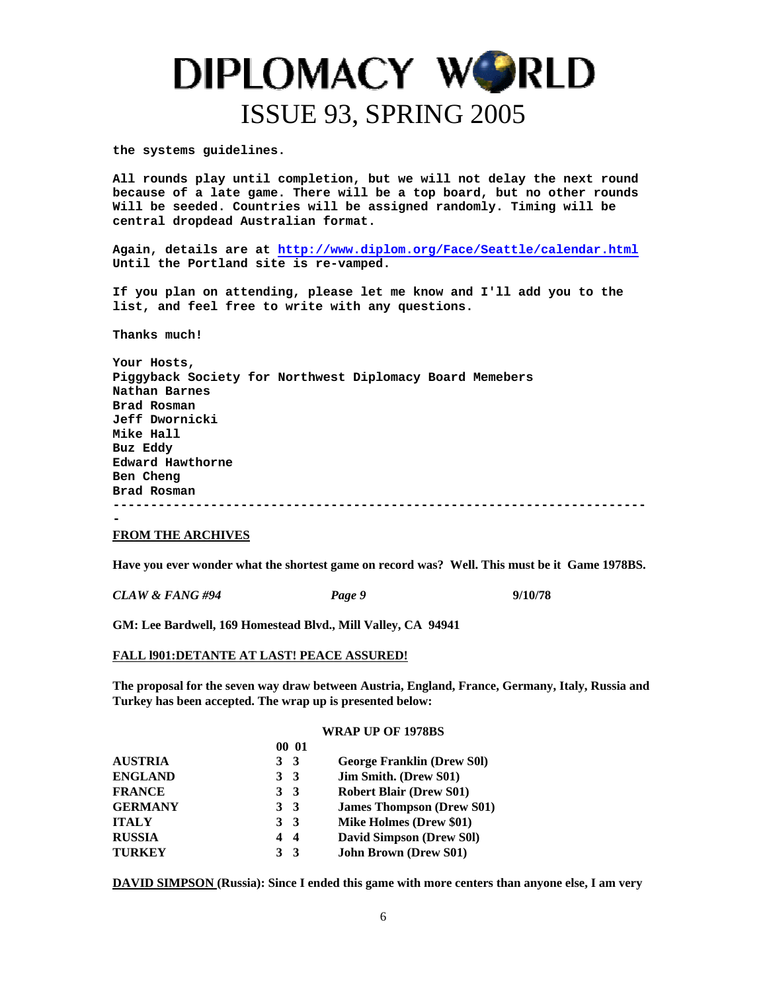**the systems guidelines.** 

**All rounds play until completion, but we will not delay the next round because of a late game. There will be a top board, but no other rounds Will be seeded. Countries will be assigned randomly. Timing will be central dropdead Australian format.** 

**Again, details are at <http://www.diplom.org/Face/Seattle/calendar.html> Until the Portland site is re-vamped.** 

**If you plan on attending, please let me know and I'll add you to the list, and feel free to write with any questions.** 

**Thanks much!** 

**Your Hosts, Piggyback Society for Northwest Diplomacy Board Memebers Nathan Barnes Brad Rosman Jeff Dwornicki Mike Hall Buz Eddy Edward Hawthorne Ben Cheng Brad Rosman ----------------------------------------------------------------------- -** 

#### **FROM THE ARCHIVES**

**Have you ever wonder what the shortest game on record was? Well. This must be it Game 1978BS.**

*CLAW & FANG #94 Page 9* **9/10/78** 

**GM: Lee Bardwell, 169 Homestead Blvd., Mill Valley, CA 94941** 

#### **FALL l901:DETANTE AT LAST! PEACE ASSURED!**

**The proposal for the seven way draw between Austria, England, France, Germany, Italy, Russia and Turkey has been accepted. The wrap up is presented below:** 

#### **WRAP UP OF 1978BS**

|                | 00 01                        |                                   |
|----------------|------------------------------|-----------------------------------|
| <b>AUSTRIA</b> | 3 <sup>3</sup>               | <b>George Franklin (Drew S01)</b> |
| <b>ENGLAND</b> | 3 <sup>3</sup>               | Jim Smith. (Drew S01)             |
| <b>FRANCE</b>  | 3 <sup>3</sup>               | <b>Robert Blair (Drew S01)</b>    |
| <b>GERMANY</b> | 3 <sup>3</sup>               | <b>James Thompson (Drew S01)</b>  |
| <b>ITALY</b>   | 3 <sup>3</sup>               | <b>Mike Holmes (Drew \$01)</b>    |
| <b>RUSSIA</b>  | 4<br>$\overline{\mathbf{4}}$ | <b>David Simpson (Drew S01)</b>   |
| <b>TURKEY</b>  | 3 <sup>3</sup>               | <b>John Brown (Drew S01)</b>      |

**DAVID SIMPSON (Russia): Since I ended this game with more centers than anyone else, I am very**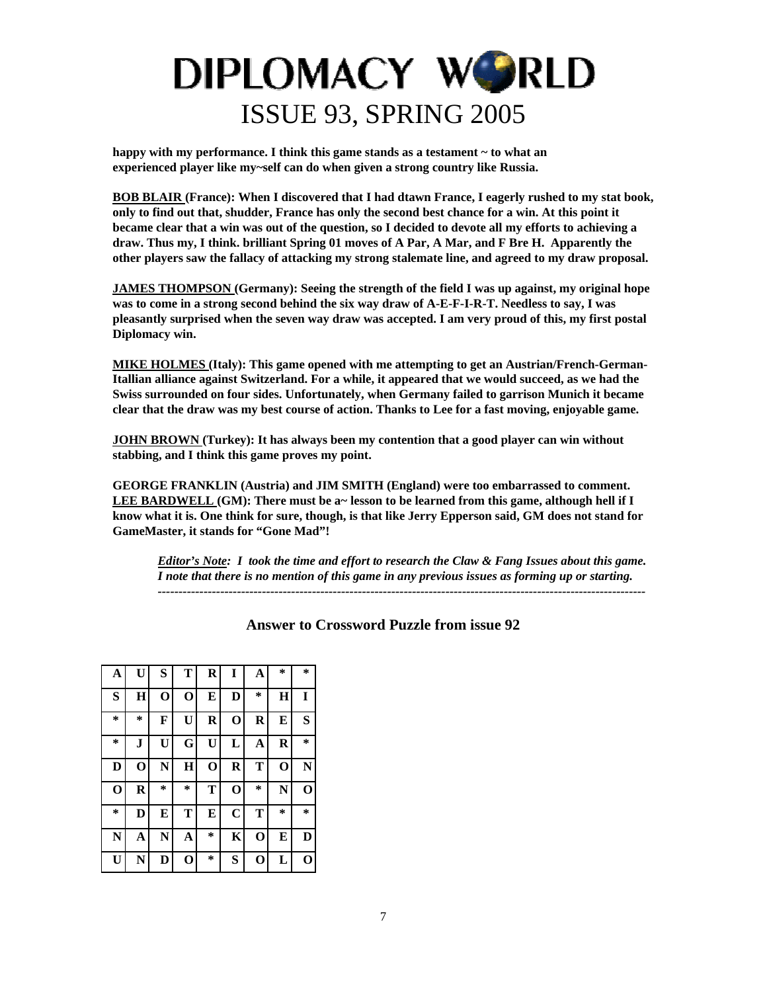happy with my performance. I think this game stands as a testament  $\sim$  to what an **experienced player like my~self can do when given a strong country like Russia.** 

**BOB BLAIR (France): When I discovered that I had dtawn France, I eagerly rushed to my stat book, only to find out that, shudder, France has only the second best chance for a win. At this point it became clear that a win was out of the question, so I decided to devote all my efforts to achieving a draw. Thus my, I think. brilliant Spring 01 moves of A Par, A Mar, and F Bre H. Apparently the other players saw the fallacy of attacking my strong stalemate line, and agreed to my draw proposal.** 

**JAMES THOMPSON (Germany): Seeing the strength of the field I was up against, my original hope was to come in a strong second behind the six way draw of A-E-F-I-R-T. Needless to say, I was pleasantly surprised when the seven way draw was accepted. I am very proud of this, my first postal Diplomacy win.** 

**MIKE HOLMES (Italy): This game opened with me attempting to get an Austrian/French-German-Itallian alliance against Switzerland. For a while, it appeared that we would succeed, as we had the Swiss surrounded on four sides. Unfortunately, when Germany failed to garrison Munich it became clear that the draw was my best course of action. Thanks to Lee for a fast moving, enjoyable game.** 

**JOHN BROWN (Turkey): It has always been my contention that a good player can win without stabbing, and I think this game proves my point.** 

**GEORGE FRANKLIN (Austria) and JIM SMITH (England) were too embarrassed to comment.**  LEE BARDWELL (GM): There must be a~ lesson to be learned from this game, although hell if I **know what it is. One think for sure, though, is that like Jerry Epperson said, GM does not stand for GameMaster, it stands for "Gone Mad"!** 

*Editor's Note: I took the time and effort to research the Claw & Fang Issues about this game. I note that there is no mention of this game in any previous issues as forming up or starting. ---------------------------------------------------------------------------------------------------------------------* 

| A           | $\mathbf{U}$ | S           | T           | $\mathbf R$ | I           | A           | *           | *           |
|-------------|--------------|-------------|-------------|-------------|-------------|-------------|-------------|-------------|
| S           | $\mathbf H$  | $\mathbf 0$ | $\mathbf 0$ | E           | D           | $\ast$      | $\bf H$     | I           |
| ∗           | $\ast$       | F           | U           | R           | $\mathbf 0$ | $\bf R$     | E           | S           |
| *           | J            | U           | G           | U           | L           | A           | R           | $\ast$      |
| D           | $\mathbf 0$  | N           | Н           | $\mathbf 0$ | $\bf R$     | T           | $\mathbf 0$ | N           |
| $\mathbf 0$ | R            | *           | *           | Т           | $\mathbf 0$ | $\ast$      | N           | $\mathbf 0$ |
| *           | D            | E           | T           | E           | $\mathbf C$ | T           | *           | *           |
| N           | A            | N           | A           | $\ast$      | K           | $\mathbf 0$ | E           | D           |
| U           | N            | D           | $\mathbf 0$ | $\ast$      | S           | O           | L           | О           |

**Answer to Crossword Puzzle from issue 92**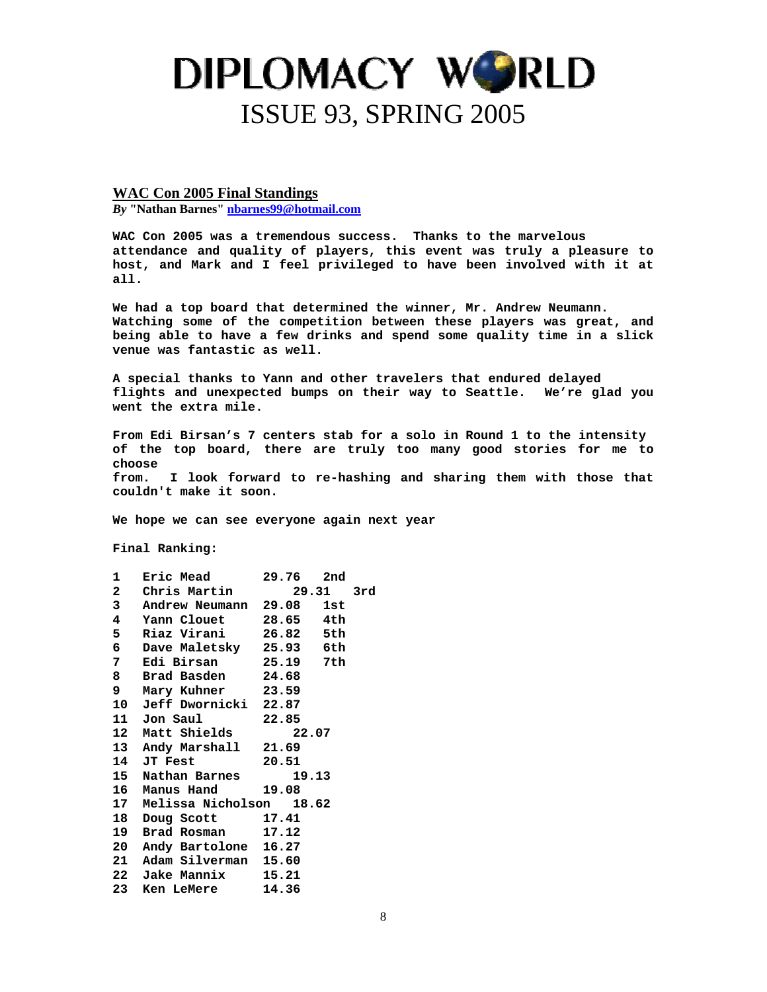**WAC Con 2005 Final Standings**

*By* **"Nathan Barnes" [nbarnes99@hotmail.com](mailto:nbarnes99@hotmail.com)**

**WAC Con 2005 was a tremendous success. Thanks to the marvelous attendance and quality of players, this event was truly a pleasure to host, and Mark and I feel privileged to have been involved with it at all.** 

**We had a top board that determined the winner, Mr. Andrew Neumann. Watching some of the competition between these players was great, and being able to have a few drinks and spend some quality time in a slick venue was fantastic as well.** 

**A special thanks to Yann and other travelers that endured delayed flights and unexpected bumps on their way to Seattle. We're glad you went the extra mile.** 

**From Edi Birsan's 7 centers stab for a solo in Round 1 to the intensity of the top board, there are truly too many good stories for me to choose from. I look forward to re-hashing and sharing them with those that couldn't make it soon.** 

**We hope we can see everyone again next year** 

**Final Ranking:** 

|                         | 1 Eric Mead 29.76 2nd          |           |  |
|-------------------------|--------------------------------|-----------|--|
|                         | 2 Chris Martin                 | 29.31 3rd |  |
| 3                       | Andrew Neumann 29.08 1st       |           |  |
| $\overline{\mathbf{4}}$ | Yann Clouet 28.65 4th          |           |  |
| 5                       | Riaz Virani       26.82    5th |           |  |
|                         | 6 Dave Maletsky 25.93 6th      |           |  |
|                         | 7 Edi Birsan 25.19 7th         |           |  |
|                         | 8 Brad Basden 24.68            |           |  |
|                         | 9 Mary Kuhner 23.59            |           |  |
|                         | 10 Jeff Dwornicki 22.87        |           |  |
|                         | 11 Jon Saul 22.85              |           |  |
|                         | 12 Matt Shields 22.07          |           |  |
|                         | 13 Andy Marshall 21.69         |           |  |
|                         | 14 JT Fest 20.51               |           |  |
|                         | 15 Nathan Barnes 19.13         |           |  |
|                         | 16 Manus Hand 19.08            |           |  |
|                         | 17 Melissa Nicholson 18.62     |           |  |
|                         | 18 Doug Scott 17.41            |           |  |
|                         | 19 Brad Rosman 17.12           |           |  |
|                         | 20 Andy Bartolone 16.27        |           |  |
|                         | 21 Adam Silverman 15.60        |           |  |
|                         | 22 Jake Mannix 15.21           |           |  |
|                         | 23 Ken LeMere 14.36            |           |  |
|                         |                                |           |  |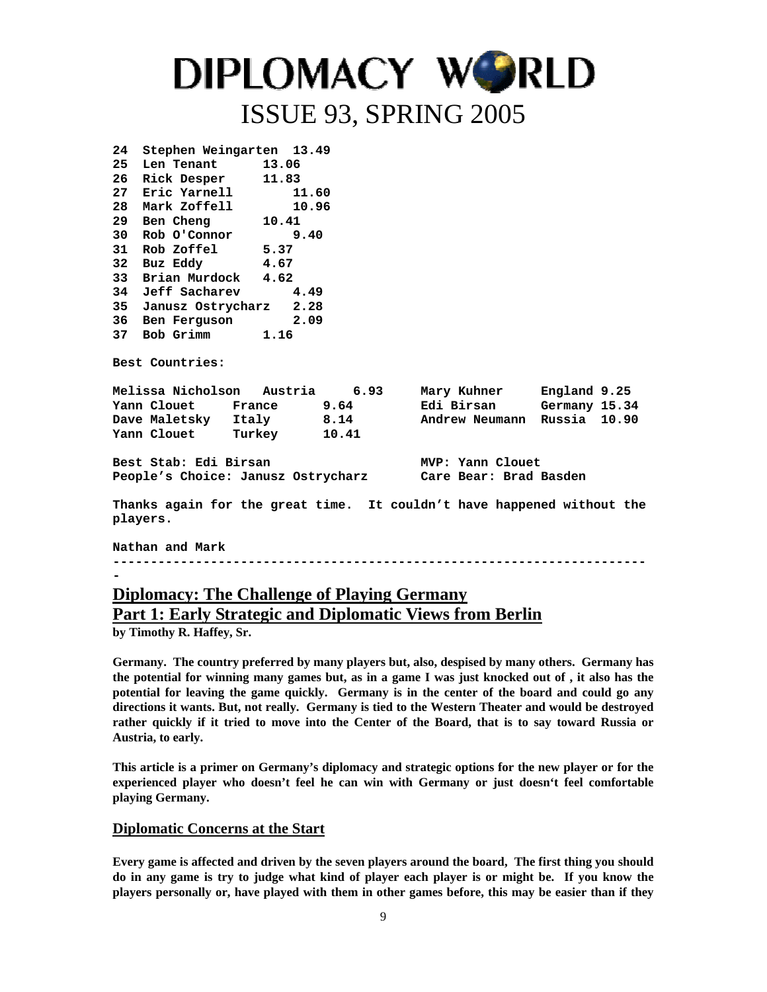| 24                                                                                 | Stephen Weingarten 13.49                                           |       |  |                          |  |  |  |
|------------------------------------------------------------------------------------|--------------------------------------------------------------------|-------|--|--------------------------|--|--|--|
|                                                                                    | 25 Len Tenant 13.06                                                |       |  |                          |  |  |  |
| 26 -                                                                               | Rick Desper 11.83                                                  |       |  |                          |  |  |  |
| 27                                                                                 | Eric Yarnell                                                       | 11.60 |  |                          |  |  |  |
| 28                                                                                 | Mark Zoffell 10.96                                                 |       |  |                          |  |  |  |
| 29                                                                                 | Ben Cheng 10.41                                                    |       |  |                          |  |  |  |
| 30                                                                                 | Rob O'Connor 9.40                                                  |       |  |                          |  |  |  |
| 31                                                                                 | Rob Zoffel 5.37                                                    |       |  |                          |  |  |  |
|                                                                                    | 32 Buz Eddy 4.67                                                   |       |  |                          |  |  |  |
| 33                                                                                 | Brian Murdock 4.62                                                 |       |  |                          |  |  |  |
| 34                                                                                 | Jeff Sacharev                                                      | 4.49  |  |                          |  |  |  |
| 35                                                                                 | Janusz Ostrycharz 2.28                                             |       |  |                          |  |  |  |
|                                                                                    | 36 Ben Ferguson 2.09                                               |       |  |                          |  |  |  |
|                                                                                    | 37 Bob Grimm 1.16                                                  |       |  |                          |  |  |  |
|                                                                                    | <b>Best Countries:</b>                                             |       |  |                          |  |  |  |
|                                                                                    | Melissa Nicholson Austria     6.93     Mary Kuhner    England 9.25 |       |  |                          |  |  |  |
|                                                                                    | Yann Clouet         France             9.64                        |       |  | Edi Birsan Germany 15.34 |  |  |  |
|                                                                                    | Dave Maletsky Italy 198.14 Nandrew Neumann Russia 10.90            |       |  |                          |  |  |  |
|                                                                                    | Yann Clouet Turkey 10.41                                           |       |  |                          |  |  |  |
|                                                                                    | Best Stab: Edi Birsan<br>MVP: Yann Clouet                          |       |  |                          |  |  |  |
|                                                                                    | People's Choice: Janusz Ostrycharz         Care Bear: Brad Basden  |       |  |                          |  |  |  |
| Thanks again for the great time. It couldn't have happened without the<br>players. |                                                                    |       |  |                          |  |  |  |
|                                                                                    | Nathan and Mark                                                    |       |  |                          |  |  |  |

**-----------------------------------------------------------------------**

### **Diplomacy: The Challenge of Playing Germany Part 1: Early Strategic and Diplomatic Views from Berlin**

**by Timothy R. Haffey, Sr.** 

**-** 

**Germany. The country preferred by many players but, also, despised by many others. Germany has the potential for winning many games but, as in a game I was just knocked out of , it also has the potential for leaving the game quickly. Germany is in the center of the board and could go any directions it wants. But, not really. Germany is tied to the Western Theater and would be destroyed rather quickly if it tried to move into the Center of the Board, that is to say toward Russia or Austria, to early.** 

**This article is a primer on Germany's diplomacy and strategic options for the new player or for the experienced player who doesn't feel he can win with Germany or just doesn't feel comfortable playing Germany.** 

#### **Diplomatic Concerns at the Start**

**Every game is affected and driven by the seven players around the board, The first thing you should do in any game is try to judge what kind of player each player is or might be. If you know the players personally or, have played with them in other games before, this may be easier than if they**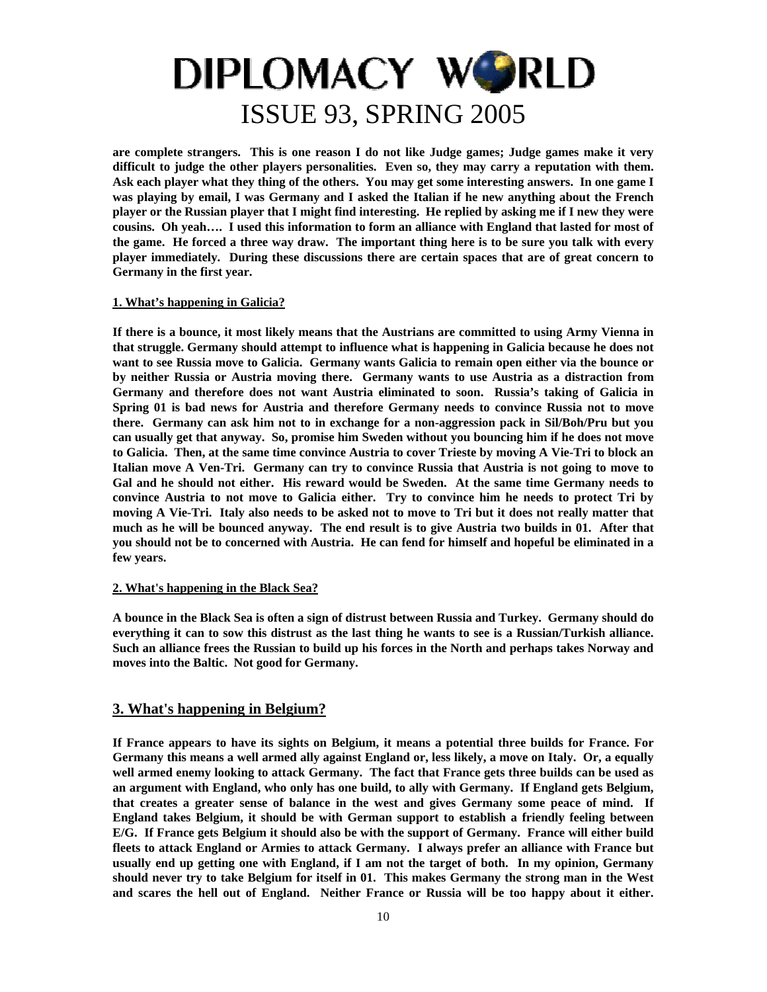**are complete strangers. This is one reason I do not like Judge games; Judge games make it very difficult to judge the other players personalities. Even so, they may carry a reputation with them. Ask each player what they thing of the others. You may get some interesting answers. In one game I was playing by email, I was Germany and I asked the Italian if he new anything about the French player or the Russian player that I might find interesting. He replied by asking me if I new they were cousins. Oh yeah…. I used this information to form an alliance with England that lasted for most of the game. He forced a three way draw. The important thing here is to be sure you talk with every player immediately. During these discussions there are certain spaces that are of great concern to Germany in the first year.** 

#### **1. What's happening in Galicia?**

**If there is a bounce, it most likely means that the Austrians are committed to using Army Vienna in that struggle. Germany should attempt to influence what is happening in Galicia because he does not want to see Russia move to Galicia. Germany wants Galicia to remain open either via the bounce or by neither Russia or Austria moving there. Germany wants to use Austria as a distraction from Germany and therefore does not want Austria eliminated to soon. Russia's taking of Galicia in Spring 01 is bad news for Austria and therefore Germany needs to convince Russia not to move there. Germany can ask him not to in exchange for a non-aggression pack in Sil/Boh/Pru but you can usually get that anyway. So, promise him Sweden without you bouncing him if he does not move to Galicia. Then, at the same time convince Austria to cover Trieste by moving A Vie-Tri to block an Italian move A Ven-Tri. Germany can try to convince Russia that Austria is not going to move to Gal and he should not either. His reward would be Sweden. At the same time Germany needs to convince Austria to not move to Galicia either. Try to convince him he needs to protect Tri by moving A Vie-Tri. Italy also needs to be asked not to move to Tri but it does not really matter that much as he will be bounced anyway. The end result is to give Austria two builds in 01. After that you should not be to concerned with Austria. He can fend for himself and hopeful be eliminated in a few years.** 

#### **2. What's happening in the Black Sea?**

**A bounce in the Black Sea is often a sign of distrust between Russia and Turkey. Germany should do everything it can to sow this distrust as the last thing he wants to see is a Russian/Turkish alliance. Such an alliance frees the Russian to build up his forces in the North and perhaps takes Norway and moves into the Baltic. Not good for Germany.** 

#### **3. What's happening in Belgium?**

**If France appears to have its sights on Belgium, it means a potential three builds for France. For Germany this means a well armed ally against England or, less likely, a move on Italy. Or, a equally well armed enemy looking to attack Germany. The fact that France gets three builds can be used as an argument with England, who only has one build, to ally with Germany. If England gets Belgium, that creates a greater sense of balance in the west and gives Germany some peace of mind. If England takes Belgium, it should be with German support to establish a friendly feeling between E/G. If France gets Belgium it should also be with the support of Germany. France will either build fleets to attack England or Armies to attack Germany. I always prefer an alliance with France but usually end up getting one with England, if I am not the target of both. In my opinion, Germany should never try to take Belgium for itself in 01. This makes Germany the strong man in the West and scares the hell out of England. Neither France or Russia will be too happy about it either.**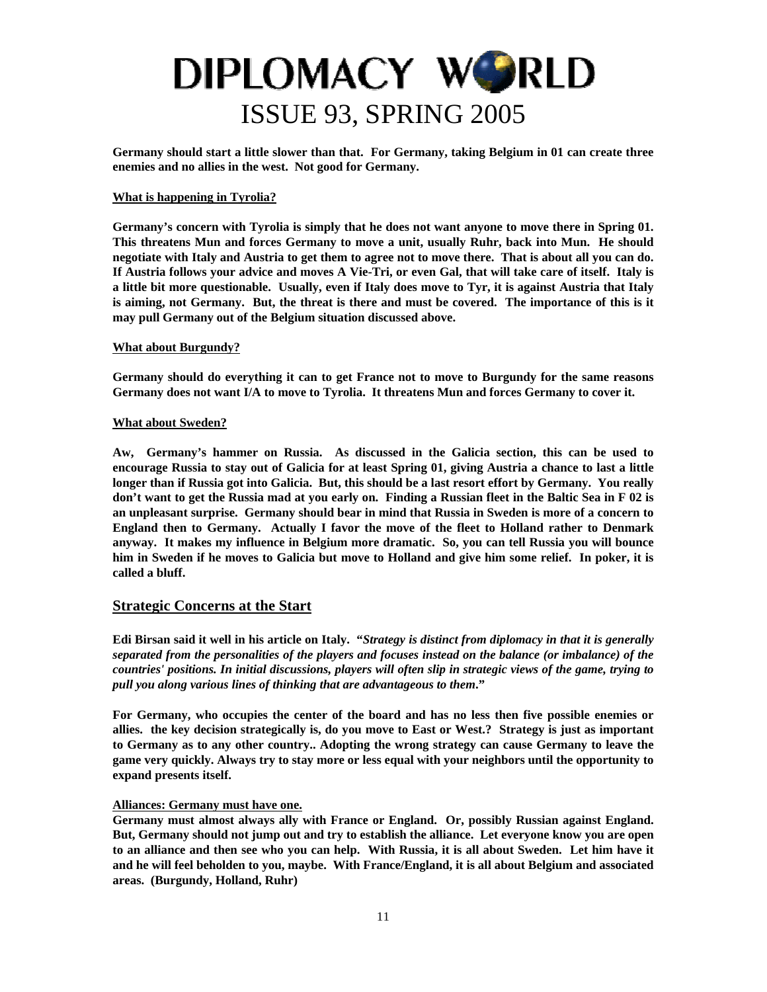**Germany should start a little slower than that. For Germany, taking Belgium in 01 can create three enemies and no allies in the west. Not good for Germany.** 

#### **What is happening in Tyrolia?**

**Germany's concern with Tyrolia is simply that he does not want anyone to move there in Spring 01. This threatens Mun and forces Germany to move a unit, usually Ruhr, back into Mun. He should negotiate with Italy and Austria to get them to agree not to move there. That is about all you can do. If Austria follows your advice and moves A Vie-Tri, or even Gal, that will take care of itself. Italy is a little bit more questionable. Usually, even if Italy does move to Tyr, it is against Austria that Italy is aiming, not Germany. But, the threat is there and must be covered. The importance of this is it may pull Germany out of the Belgium situation discussed above.** 

#### **What about Burgundy?**

**Germany should do everything it can to get France not to move to Burgundy for the same reasons Germany does not want I/A to move to Tyrolia. It threatens Mun and forces Germany to cover it.** 

#### **What about Sweden?**

**Aw, Germany's hammer on Russia. As discussed in the Galicia section, this can be used to encourage Russia to stay out of Galicia for at least Spring 01, giving Austria a chance to last a little longer than if Russia got into Galicia. But, this should be a last resort effort by Germany. You really don't want to get the Russia mad at you early on. Finding a Russian fleet in the Baltic Sea in F 02 is an unpleasant surprise. Germany should bear in mind that Russia in Sweden is more of a concern to England then to Germany. Actually I favor the move of the fleet to Holland rather to Denmark anyway. It makes my influence in Belgium more dramatic. So, you can tell Russia you will bounce him in Sweden if he moves to Galicia but move to Holland and give him some relief. In poker, it is called a bluff.** 

#### **Strategic Concerns at the Start**

**Edi Birsan said it well in his article on Italy. "***Strategy is distinct from diplomacy in that it is generally separated from the personalities of the players and focuses instead on the balance (or imbalance) of the countries' positions. In initial discussions, players will often slip in strategic views of the game, trying to pull you along various lines of thinking that are advantageous to them***."** 

**For Germany, who occupies the center of the board and has no less then five possible enemies or allies. the key decision strategically is, do you move to East or West.? Strategy is just as important to Germany as to any other country.. Adopting the wrong strategy can cause Germany to leave the game very quickly. Always try to stay more or less equal with your neighbors until the opportunity to expand presents itself.** 

#### **Alliances: Germany must have one.**

**Germany must almost always ally with France or England. Or, possibly Russian against England. But, Germany should not jump out and try to establish the alliance. Let everyone know you are open to an alliance and then see who you can help. With Russia, it is all about Sweden. Let him have it and he will feel beholden to you, maybe. With France/England, it is all about Belgium and associated areas. (Burgundy, Holland, Ruhr)**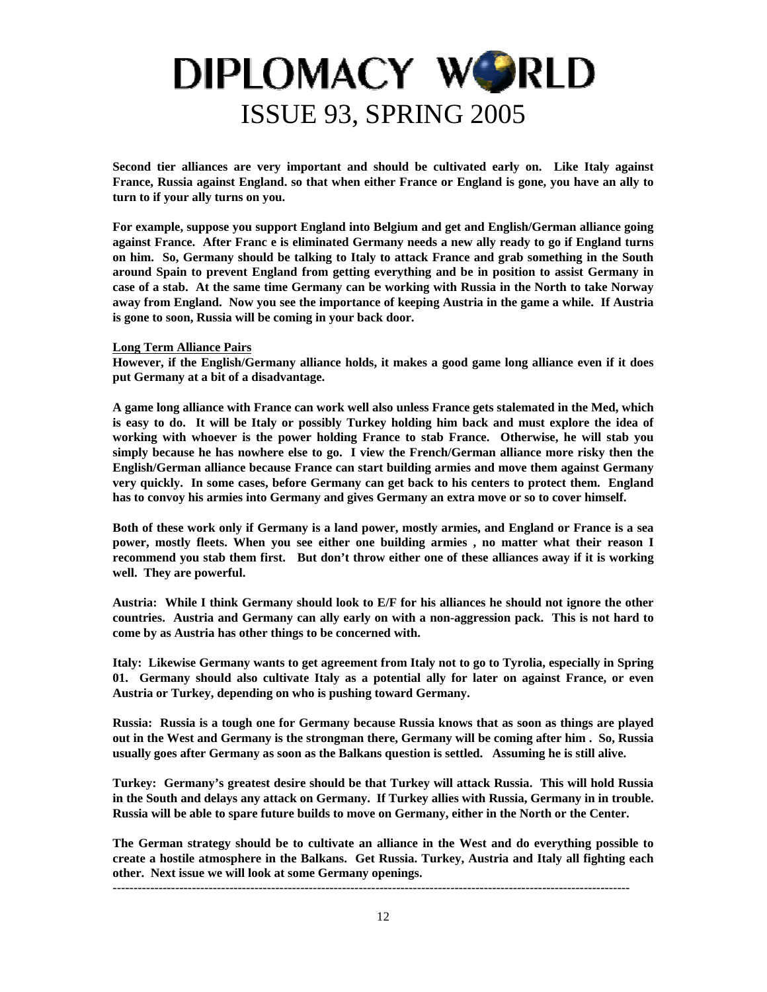**Second tier alliances are very important and should be cultivated early on. Like Italy against France, Russia against England. so that when either France or England is gone, you have an ally to turn to if your ally turns on you.** 

**For example, suppose you support England into Belgium and get and English/German alliance going against France. After Franc e is eliminated Germany needs a new ally ready to go if England turns on him. So, Germany should be talking to Italy to attack France and grab something in the South around Spain to prevent England from getting everything and be in position to assist Germany in case of a stab. At the same time Germany can be working with Russia in the North to take Norway away from England. Now you see the importance of keeping Austria in the game a while. If Austria is gone to soon, Russia will be coming in your back door.** 

#### **Long Term Alliance Pairs**

**However, if the English/Germany alliance holds, it makes a good game long alliance even if it does put Germany at a bit of a disadvantage.** 

**A game long alliance with France can work well also unless France gets stalemated in the Med, which is easy to do. It will be Italy or possibly Turkey holding him back and must explore the idea of working with whoever is the power holding France to stab France. Otherwise, he will stab you simply because he has nowhere else to go. I view the French/German alliance more risky then the English/German alliance because France can start building armies and move them against Germany very quickly. In some cases, before Germany can get back to his centers to protect them. England has to convoy his armies into Germany and gives Germany an extra move or so to cover himself.** 

**Both of these work only if Germany is a land power, mostly armies, and England or France is a sea power, mostly fleets. When you see either one building armies , no matter what their reason I recommend you stab them first. But don't throw either one of these alliances away if it is working well. They are powerful.** 

**Austria: While I think Germany should look to E/F for his alliances he should not ignore the other countries. Austria and Germany can ally early on with a non-aggression pack. This is not hard to come by as Austria has other things to be concerned with.** 

**Italy: Likewise Germany wants to get agreement from Italy not to go to Tyrolia, especially in Spring 01. Germany should also cultivate Italy as a potential ally for later on against France, or even Austria or Turkey, depending on who is pushing toward Germany.** 

**Russia: Russia is a tough one for Germany because Russia knows that as soon as things are played out in the West and Germany is the strongman there, Germany will be coming after him . So, Russia usually goes after Germany as soon as the Balkans question is settled. Assuming he is still alive.** 

**Turkey: Germany's greatest desire should be that Turkey will attack Russia. This will hold Russia in the South and delays any attack on Germany. If Turkey allies with Russia, Germany in in trouble. Russia will be able to spare future builds to move on Germany, either in the North or the Center.** 

**The German strategy should be to cultivate an alliance in the West and do everything possible to create a hostile atmosphere in the Balkans. Get Russia. Turkey, Austria and Italy all fighting each other. Next issue we will look at some Germany openings.**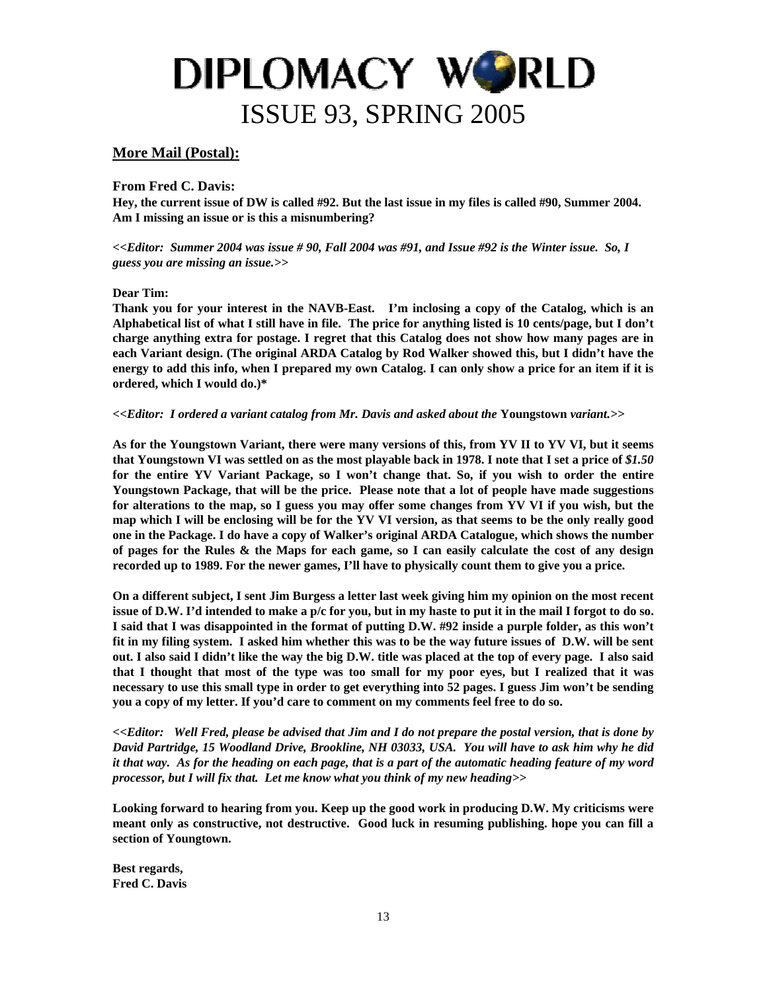#### **More Mail (Postal):**

**From Fred C. Davis:** 

**Hey, the current issue of DW is called #92. But the last issue in my files is called #90, Summer 2004. Am I missing an issue or is this a misnumbering?** 

*<<Editor: Summer 2004 was issue # 90, Fall 2004 was #91, and Issue #92 is the Winter issue. So, I guess you are missing an issue.>>* 

#### **Dear Tim:**

**Thank you for your interest in the NAVB-East. I'm inclosing a copy of the Catalog, which is an Alphabetical list of what I still have in file. The price for anything listed is 10 cents/page, but I don't charge anything extra for postage. I regret that this Catalog does not show how many pages are in each Variant design. (The original ARDA Catalog by Rod Walker showed this, but I didn't have the energy to add this info, when I prepared my own Catalog. I can only show a price for an item if it is ordered, which I would do.)\*** 

#### *<<Editor: I ordered a variant catalog from Mr. Davis and asked about the* **Youngstown** *variant.>>*

**As for the Youngstown Variant, there were many versions of this, from YV II to YV VI, but it seems that Youngstown VI was settled on as the most playable back in 1978. I note that I set a price of** *\$1.50*  **for the entire YV Variant Package, so I won't change that. So, if you wish to order the entire Youngstown Package, that will be the price. Please note that a lot of people have made suggestions for alterations to the map, so I guess you may offer some changes from YV VI if you wish, but the map which I will be enclosing will be for the YV VI version, as that seems to be the only really good one in the Package. I do have a copy of Walker's original ARDA Catalogue, which shows the number of pages for the Rules & the Maps for each game, so I can easily calculate the cost of any design recorded up to 1989. For the newer games, I'll have to physically count them to give you a price.** 

**On a different subject, I sent Jim Burgess a letter last week giving him my opinion on the most recent issue of D.W. I'd intended to make a p/c for you, but in my haste to put it in the mail I forgot to do so. I said that I was disappointed in the format of putting D.W. #92 inside a purple folder, as this won't fit in my filing system. I asked him whether this was to be the way future issues of D.W. will be sent out. I also said I didn't like the way the big D.W. title was placed at the top of every page. I also said that I thought that most of the type was too small for my poor eyes, but I realized that it was necessary to use this small type in order to get everything into 52 pages. I guess Jim won't be sending you a copy of my letter. If you'd care to comment on my comments feel free to do so.** 

*<<Editor: Well Fred, please be advised that Jim and I do not prepare the postal version, that is done by David Partridge, 15 Woodland Drive, Brookline, NH 03033, USA. You will have to ask him why he did it that way. As for the heading on each page, that is a part of the automatic heading feature of my word processor, but I will fix that. Let me know what you think of my new heading>>* 

**Looking forward to hearing from you. Keep up the good work in producing D.W. My criticisms were meant only as constructive, not destructive. Good luck in resuming publishing. hope you can fill a section of Youngtown.** 

**Best regards, Fred C. Davis**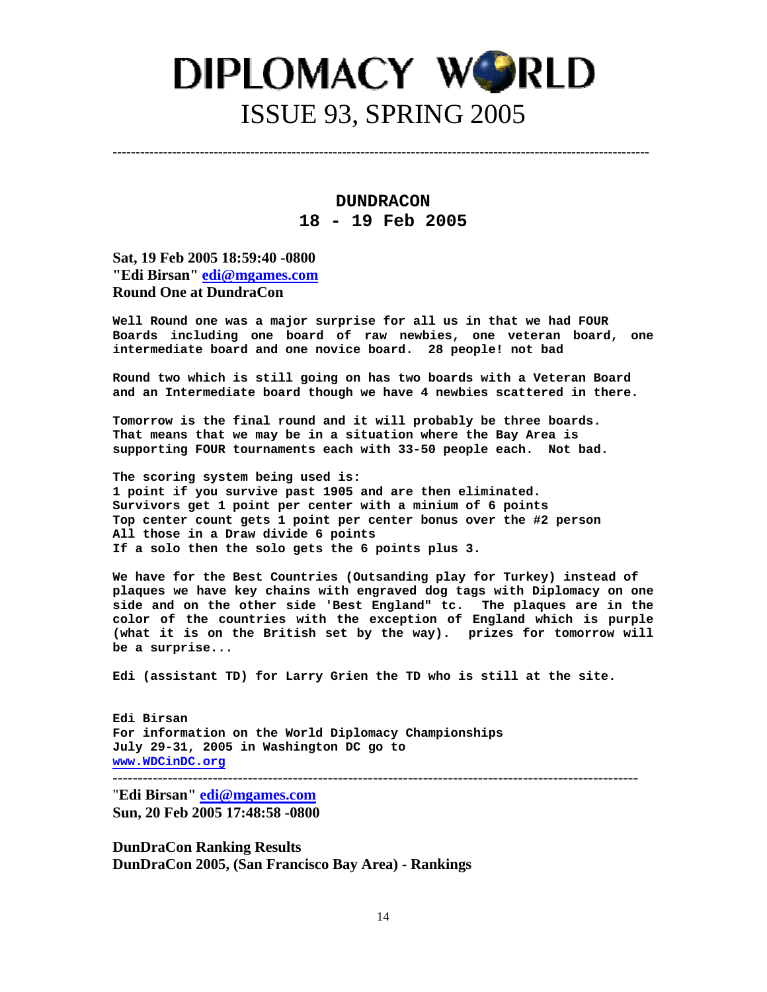**DUNDRACON 18 - 19 Feb 2005** 

**---------------------------------------------------------------------------------------------------------------------**

**Sat, 19 Feb 2005 18:59:40 -0800 "Edi Birsan" [edi@mgames.com](mailto:edi@mgames.com) Round One at DundraCon**

**Well Round one was a major surprise for all us in that we had FOUR Boards including one board of raw newbies, one veteran board, one intermediate board and one novice board. 28 people! not bad** 

**Round two which is still going on has two boards with a Veteran Board and an Intermediate board though we have 4 newbies scattered in there.** 

**Tomorrow is the final round and it will probably be three boards. That means that we may be in a situation where the Bay Area is supporting FOUR tournaments each with 33-50 people each. Not bad.** 

**The scoring system being used is: 1 point if you survive past 1905 and are then eliminated. Survivors get 1 point per center with a minium of 6 points Top center count gets 1 point per center bonus over the #2 person All those in a Draw divide 6 points If a solo then the solo gets the 6 points plus 3.** 

**We have for the Best Countries (Outsanding play for Turkey) instead of plaques we have key chains with engraved dog tags with Diplomacy on one side and on the other side 'Best England" tc. The plaques are in the color of the countries with the exception of England which is purple (what it is on the British set by the way). prizes for tomorrow will be a surprise...** 

**Edi (assistant TD) for Larry Grien the TD who is still at the site.** 

**Edi Birsan For information on the World Diplomacy Championships July 29-31, 2005 in Washington DC go to [www.WDCinDC.org](http://www.wdcindc.org/)** ---------------------------------------------------------------------------------------------------------

"**Edi Birsan" [edi@mgames.com](mailto:edi@mgames.com) Sun, 20 Feb 2005 17:48:58 -0800**

**DunDraCon Ranking Results DunDraCon 2005, (San Francisco Bay Area) - Rankings**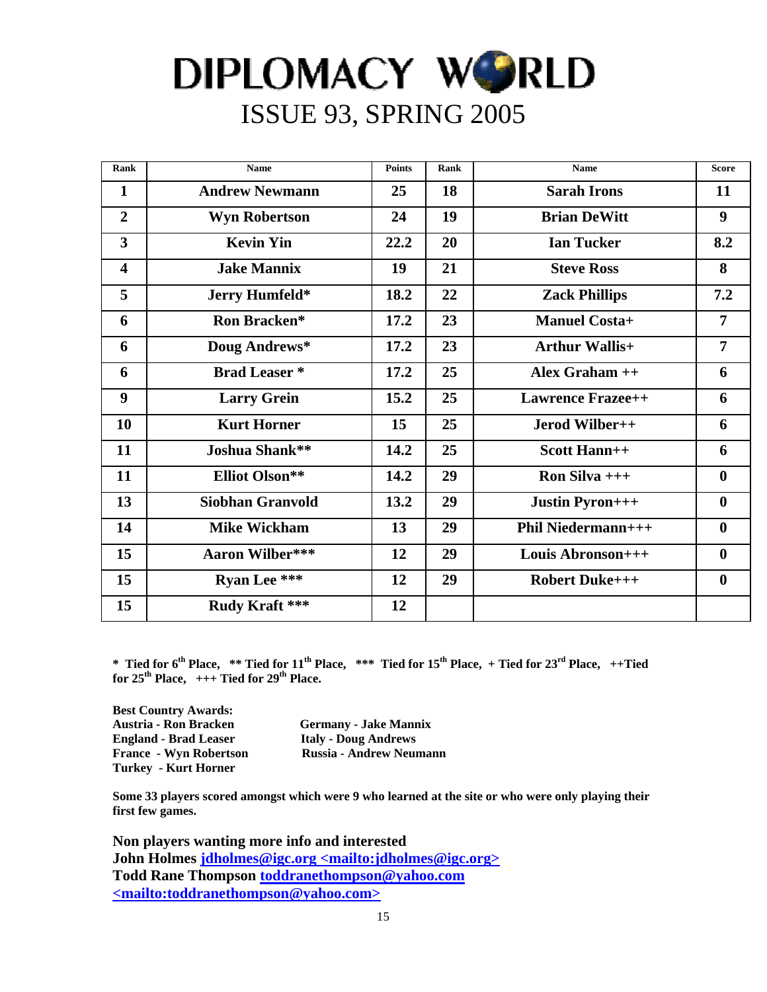| Rank                    | <b>Name</b>             | <b>Points</b> | <b>Rank</b> | <b>Name</b>               | <b>Score</b>     |
|-------------------------|-------------------------|---------------|-------------|---------------------------|------------------|
| 1                       | <b>Andrew Newmann</b>   | 25            | 18          | <b>Sarah Irons</b>        | 11               |
| $\overline{2}$          | <b>Wyn Robertson</b>    | 24            | 19          | <b>Brian DeWitt</b>       | 9                |
| 3                       | <b>Kevin Yin</b>        | 22.2          | 20          | <b>Ian Tucker</b>         | 8.2              |
| $\overline{\mathbf{4}}$ | <b>Jake Mannix</b>      | 19            | 21          | <b>Steve Ross</b>         | 8                |
| 5                       | Jerry Humfeld*          | 18.2          | 22          | <b>Zack Phillips</b>      | 7.2              |
| 6                       | Ron Bracken*            | 17.2          | 23          | <b>Manuel Costa+</b>      | $\overline{7}$   |
| 6                       | Doug Andrews*           | 17.2          | 23          | <b>Arthur Wallis+</b>     | $\overline{7}$   |
| 6                       | <b>Brad Leaser</b> *    | 17.2          | 25          | Alex Graham ++            | 6                |
| 9                       | <b>Larry Grein</b>      | 15.2          | 25          | <b>Lawrence Frazee++</b>  | 6                |
| 10                      | <b>Kurt Horner</b>      | 15            | 25          | Jerod Wilber++            | 6                |
| 11                      | Joshua Shank**          | 14.2          | 25          | <b>Scott Hann++</b>       | 6                |
| 11                      | <b>Elliot Olson**</b>   | 14.2          | 29          | Ron Silva $++$            | $\boldsymbol{0}$ |
| 13                      | <b>Siobhan Granvold</b> | 13.2          | 29          | <b>Justin Pyron+++</b>    | $\boldsymbol{0}$ |
| 14                      | <b>Mike Wickham</b>     | 13            | 29          | <b>Phil Niedermann+++</b> | $\boldsymbol{0}$ |
| 15                      | <b>Aaron Wilber***</b>  | 12            | 29          | Louis Abronson+++         | $\boldsymbol{0}$ |
| 15                      | <b>Ryan Lee ***</b>     | 12            | 29          | <b>Robert Duke+++</b>     | $\boldsymbol{0}$ |
| 15                      | Rudy Kraft ***          | 12            |             |                           |                  |

\* Tied for 6<sup>th</sup> Place, \*\* Tied for 11<sup>th</sup> Place, \*\*\* Tied for 15<sup>th</sup> Place, + Tied for 23<sup>rd</sup> Place, ++Tied for  $25<sup>th</sup>$  Place,  $++$  Tied for  $29<sup>th</sup>$  Place.

**Best Country Awards: England - Brad Leaser Italy - Doug Andrews Turkey - Kurt Horner** 

**Germany - Jake Mannix France - Wyn Robertson Russia - Andrew Neumann** 

**Some 33 players scored amongst which were 9 who learned at the site or who were only playing their first few games.** 

**Non players wanting more info and interested John Holmes jdholmes@igc.org <mailto:jdholmes@igc.org> Todd Rane Thompson toddranethompson@yahoo.com <mailto:toddranethompson@yahoo.com>**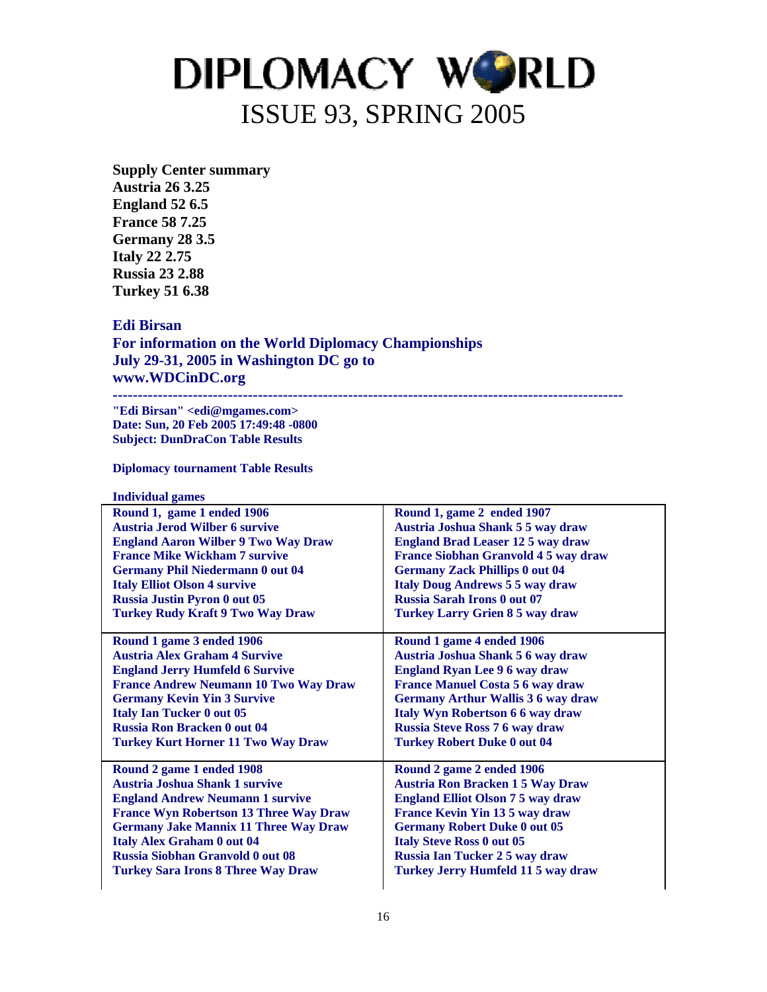**Supply Center summary Austria 26 3.25 England 52 6.5 France 58 7.25 Germany 28 3.5 Italy 22 2.75 Russia 23 2.88 Turkey 51 6.38** 

#### **Edi Birsan**

**For information on the World Diplomacy Championships July 29-31, 2005 in Washington DC go to www.WDCinDC.org** 

**------------------------------------------------------------------------------------------------------ "Edi Birsan" <edi@mgames.com>** 

**Date: Sun, 20 Feb 2005 17:49:48 -0800 Subject: DunDraCon Table Results** 

**Diplomacy tournament Table Results** 

**Individual games** 

| Round 1, game 2 ended 1907                 |
|--------------------------------------------|
| Austria Joshua Shank 5 5 way draw          |
| <b>England Brad Leaser 12 5 way draw</b>   |
| <b>France Siobhan Granvold 45 way draw</b> |
| <b>Germany Zack Phillips 0 out 04</b>      |
| <b>Italy Doug Andrews 5 5 way draw</b>     |
| <b>Russia Sarah Irons 0 out 07</b>         |
| <b>Turkey Larry Grien 8 5 way draw</b>     |
|                                            |
| Round 1 game 4 ended 1906                  |
| Austria Joshua Shank 5 6 way draw          |
| <b>England Ryan Lee 96 way draw</b>        |
| <b>France Manuel Costa 5 6 way draw</b>    |
| <b>Germany Arthur Wallis 3 6 way draw</b>  |
| Italy Wyn Robertson 6 6 way draw           |
| <b>Russia Steve Ross 7 6 way draw</b>      |
| <b>Turkey Robert Duke 0 out 04</b>         |
|                                            |
| Round 2 game 2 ended 1906                  |
| <b>Austria Ron Bracken 1 5 Way Draw</b>    |
| <b>England Elliot Olson 7 5 way draw</b>   |
| France Kevin Yin 13 5 way draw             |
| <b>Germany Robert Duke 0 out 05</b>        |
| <b>Italy Steve Ross 0 out 05</b>           |
| <b>Russia Ian Tucker 2 5 way draw</b>      |
| <b>Turkey Jerry Humfeld 11 5 way draw</b>  |
|                                            |
|                                            |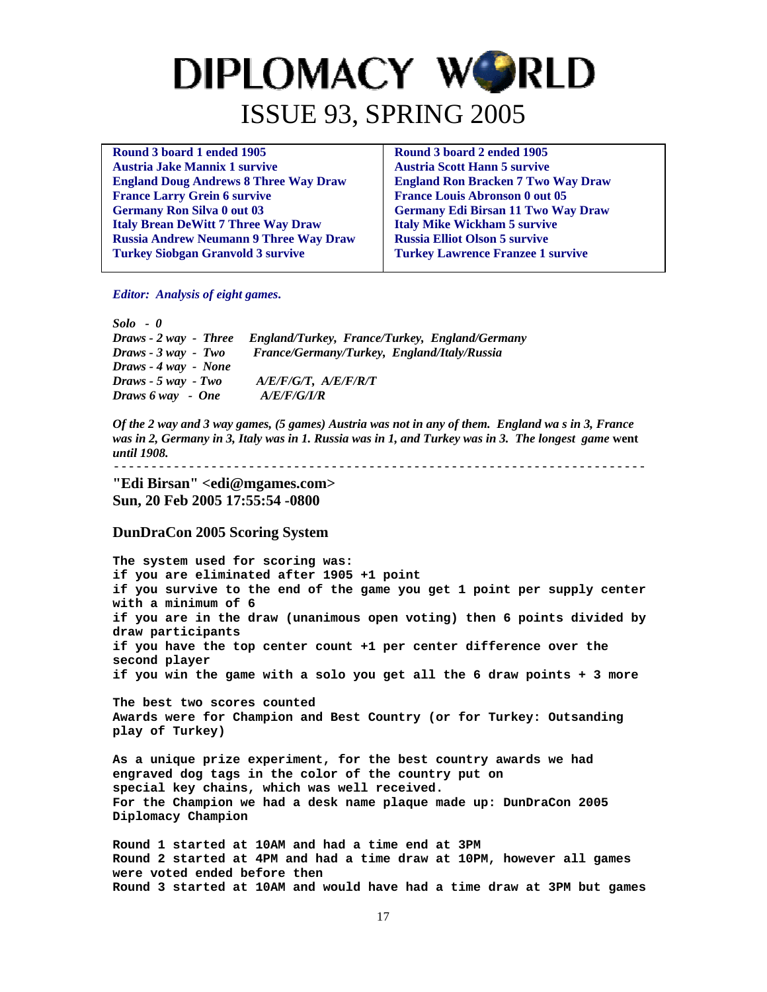| Round 3 board 1 ended 1905                    | Round 3 board 2 ended 1905                |
|-----------------------------------------------|-------------------------------------------|
| <b>Austria Jake Mannix 1 survive</b>          | <b>Austria Scott Hann 5 survive</b>       |
| <b>England Doug Andrews 8 Three Way Draw</b>  | <b>England Ron Bracken 7 Two Way Draw</b> |
| <b>France Larry Grein 6 survive</b>           | <b>France Louis Abronson 0 out 05</b>     |
| <b>Germany Ron Silva 0 out 03</b>             | <b>Germany Edi Birsan 11 Two Way Draw</b> |
| <b>Italy Brean DeWitt 7 Three Way Draw</b>    | <b>Italy Mike Wickham 5 survive</b>       |
| <b>Russia Andrew Neumann 9 Three Way Draw</b> | <b>Russia Elliot Olson 5 survive</b>      |
| <b>Turkey Siobgan Granvold 3 survive</b>      | <b>Turkey Lawrence Franzee 1 survive</b>  |
|                                               |                                           |

*Editor: Analysis of eight games***.** 

*Solo - 0 Draws - 2 way - Three England/Turkey, France/Turkey, England/Germany Draws - 3 way - Two France/Germany/Turkey, England/Italy/Russia Draws - 4 way - None Draws - 5 way - Two A/E/F/G/T, A/E/F/R/T Draws 6 way - One A/E/F/G/I/R* 

*Of the 2 way and 3 way games, (5 games) Austria was not in any of them. England wa s in 3, France was in 2, Germany in 3, Italy was in 1. Russia was in 1, and Turkey was in 3. The longest game* **went**  *until 1908.* 

-----------------------------------------------------------------------

**"Edi Birsan" <edi@mgames.com> Sun, 20 Feb 2005 17:55:54 -0800** 

#### **DunDraCon 2005 Scoring System**

**The system used for scoring was: if you are eliminated after 1905 +1 point if you survive to the end of the game you get 1 point per supply center with a minimum of 6 if you are in the draw (unanimous open voting) then 6 points divided by draw participants if you have the top center count +1 per center difference over the second player if you win the game with a solo you get all the 6 draw points + 3 more** 

**The best two scores counted Awards were for Champion and Best Country (or for Turkey: Outsanding play of Turkey)** 

**As a unique prize experiment, for the best country awards we had engraved dog tags in the color of the country put on special key chains, which was well received. For the Champion we had a desk name plaque made up: DunDraCon 2005 Diplomacy Champion** 

**Round 1 started at 10AM and had a time end at 3PM Round 2 started at 4PM and had a time draw at 10PM, however all games were voted ended before then Round 3 started at 10AM and would have had a time draw at 3PM but games**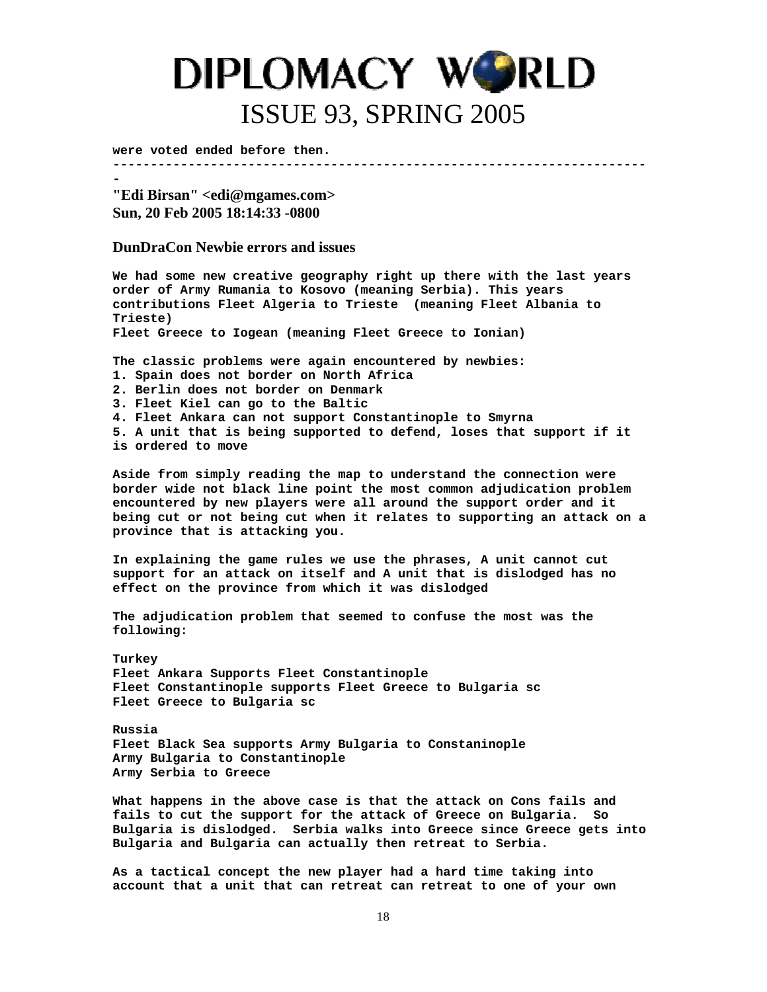**were voted ended before then.** 

**-** 

**-----------------------------------------------------------------------**

**"Edi Birsan" <edi@mgames.com> Sun, 20 Feb 2005 18:14:33 -0800** 

**DunDraCon Newbie errors and issues**

**We had some new creative geography right up there with the last years order of Army Rumania to Kosovo (meaning Serbia). This years contributions Fleet Algeria to Trieste (meaning Fleet Albania to Trieste) Fleet Greece to Iogean (meaning Fleet Greece to Ionian) The classic problems were again encountered by newbies: 1. Spain does not border on North Africa 2. Berlin does not border on Denmark 3. Fleet Kiel can go to the Baltic 4. Fleet Ankara can not support Constantinople to Smyrna 5. A unit that is being supported to defend, loses that support if it is ordered to move Aside from simply reading the map to understand the connection were border wide not black line point the most common adjudication problem encountered by new players were all around the support order and it being cut or not being cut when it relates to supporting an attack on a province that is attacking you. In explaining the game rules we use the phrases, A unit cannot cut support for an attack on itself and A unit that is dislodged has no effect on the province from which it was dislodged The adjudication problem that seemed to confuse the most was the following: Turkey Fleet Ankara Supports Fleet Constantinople Fleet Constantinople supports Fleet Greece to Bulgaria sc Fleet Greece to Bulgaria sc Russia Fleet Black Sea supports Army Bulgaria to Constaninople Army Bulgaria to Constantinople Army Serbia to Greece What happens in the above case is that the attack on Cons fails and** 

**fails to cut the support for the attack of Greece on Bulgaria. So Bulgaria is dislodged. Serbia walks into Greece since Greece gets into Bulgaria and Bulgaria can actually then retreat to Serbia.** 

**As a tactical concept the new player had a hard time taking into account that a unit that can retreat can retreat to one of your own**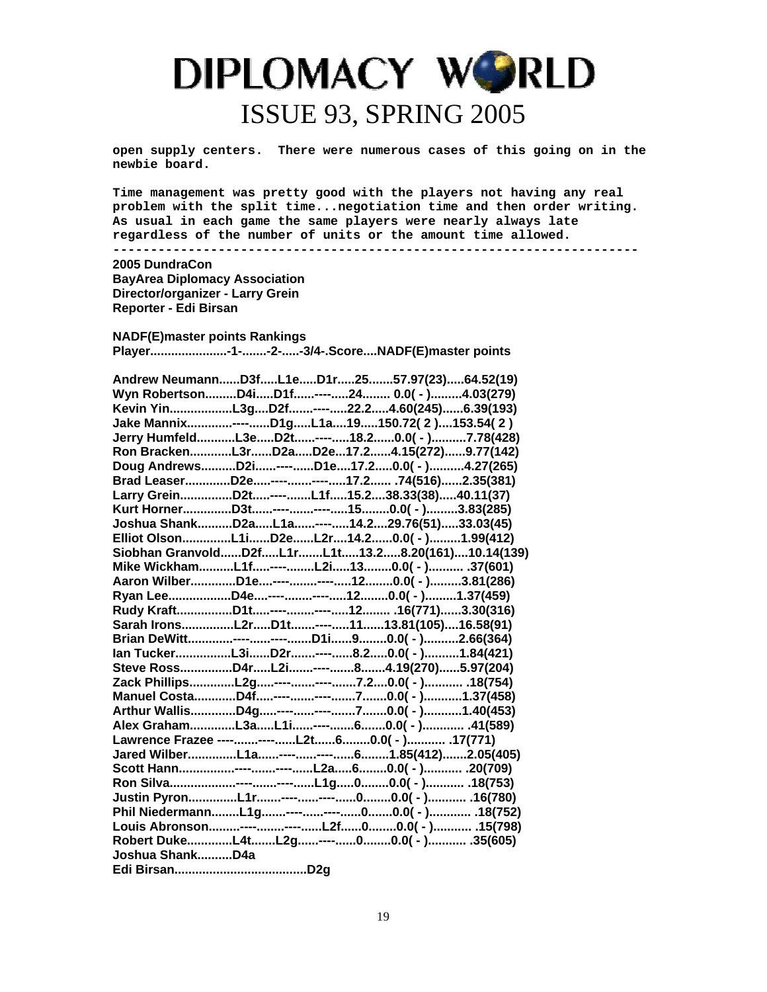**open supply centers. There were numerous cases of this going on in the newbie board.** 

**Time management was pretty good with the players not having any real problem with the split time...negotiation time and then order writing. As usual in each game the same players were nearly always late regardless of the number of units or the amount time allowed.** 

**----------------------------------------------------------------------** 

#### **2005 DundraCon**

**BayArea Diplomacy Association Director/organizer - Larry Grein Reporter - Edi Birsan** 

**NADF(E)master points Rankings** 

**Player......................-1-.......-2-.....-3/4-.Score....NADF(E)master points** 

| Andrew NeumannD3fL1eD1r2557.97(23)64.52(19)      |  |
|--------------------------------------------------|--|
| Wyn RobertsonD4iD1f----24 0.0(-)4.03(279)        |  |
| Kevin YinL3gD2f----22.24.60(245)6.39(193)        |  |
| Jake Mannix----D1gL1a19150.72(2)153.54(2)        |  |
| Jerry HumfeldL3eD2t----18.20.0(-)7.78(428)       |  |
| Ron BrackenL3rD2aD2e17.24.15(272)9.77(142)       |  |
| Doug AndrewsD2i----D1e17.20.0(-)4.27(265)        |  |
| Brad LeaserD2e--------17.2 .74(516)2.35(381)     |  |
| Larry GreinD2t----L1f15.238.33(38)40.11(37)      |  |
| Kurt HornerD3t--------150.0(-)3.83(285)          |  |
| Joshua ShankD2aL1a----14.229.76(51)33.03(45)     |  |
| Elliot OlsonL1iD2eL2r14.20.0(-)1.99(412)         |  |
| Siobhan GranvoldD2fL1rL1t13.28.20(161)10.14(139) |  |
| Mike WickhamL1f----L2i130.0(-) .37(601)          |  |
| Aaron WilberD1e--------120.0(-)3.81(286)         |  |
| Ryan LeeD4e--------120.0(-)1.37(459)             |  |
| Rudy KraftD1t--------12 .16(771)3.30(316)        |  |
| Sarah IronsL2rD1t----1113.81(105)16.58(91)       |  |
| Brian DeWitt--------D1i90.0(-)2.66(364)          |  |
| lan TuckerL3iD2r----8.20.0(-)1.84(421)           |  |
| Steve RossD4rL2i----84.19(270)5.97(204)          |  |
| Zack PhillipsL2g--------7.20.0( - ) 18(754)      |  |
| Manuel CostaD4f--------70.0(-)1.37(458)          |  |
| Arthur WallisD4g--------70.0(-)1.40(453)         |  |
| Alex GrahamL3aL1i----60.0(-) .41(589)            |  |
| Lawrence Frazee --------L2t60.0(-) 17(771)       |  |
| Jared WilberL1a--------61.85(412)2.05(405)       |  |
| Scott Hann--------L2a60.0(-) .20(709)            |  |
|                                                  |  |
|                                                  |  |
|                                                  |  |
| Louis Abronson---------L2f00.0( - ) .15(798)     |  |
|                                                  |  |
| Joshua ShankD4a                                  |  |
|                                                  |  |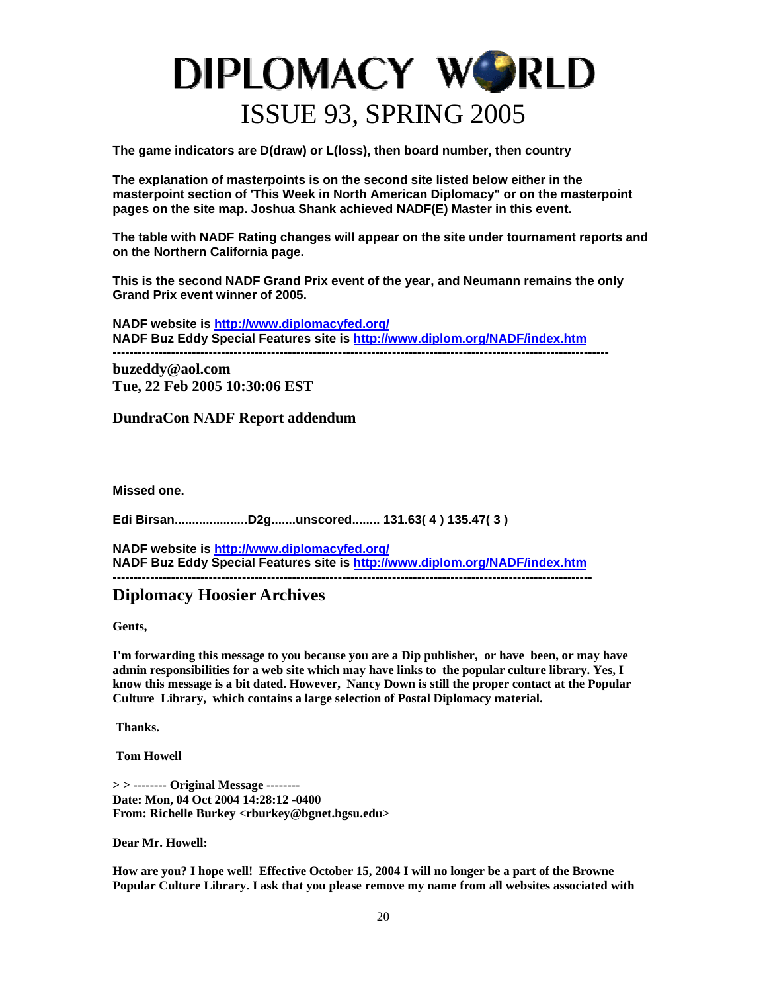**The game indicators are D(draw) or L(loss), then board number, then country** 

**The explanation of masterpoints is on the second site listed below either in the masterpoint section of 'This Week in North American Diplomacy" or on the masterpoint pages on the site map. Joshua Shank achieved NADF(E) Master in this event.** 

**The table with NADF Rating changes will appear on the site under tournament reports and on the Northern California page.** 

**This is the second NADF Grand Prix event of the year, and Neumann remains the only Grand Prix event winner of 2005.** 

**NADF website is [http://www.diplomacyfed.org/](http://www.diplomacyfed.org/forums/index.php) NADF Buz Eddy Special Features site is<http://www.diplom.org/NADF/index.htm>**

**-----------------------------------------------------------------------------------------------------------------------**

**buzeddy@aol.com Tue, 22 Feb 2005 10:30:06 EST** 

**DundraCon NADF Report addendum**

**Missed one.** 

**Edi Birsan.....................D2g.......unscored........ 131.63( 4 ) 135.47( 3 )** 

**NADF website is [http://www.diplomacyfed.org/](http://www.diplomacyfed.org/forums/index.php) NADF Buz Eddy Special Features site is<http://www.diplom.org/NADF/index.htm> -------------------------------------------------------------------------------------------------------------------** 

### **Diplomacy Hoosier Archives**

**Gents,** 

**I'm forwarding this message to you because you are a Dip publisher, or have been, or may have admin responsibilities for a web site which may have links to the popular culture library. Yes, I know this message is a bit dated. However, Nancy Down is still the proper contact at the Popular Culture Library, which contains a large selection of Postal Diplomacy material.** 

 **Thanks.** 

 **Tom Howell** 

**> > -------- Original Message -------- Date: Mon, 04 Oct 2004 14:28:12 -0400 From: Richelle Burkey <rburkey@bgnet.bgsu.edu>** 

**Dear Mr. Howell:** 

**How are you? I hope well! Effective October 15, 2004 I will no longer be a part of the Browne Popular Culture Library. I ask that you please remove my name from all websites associated with**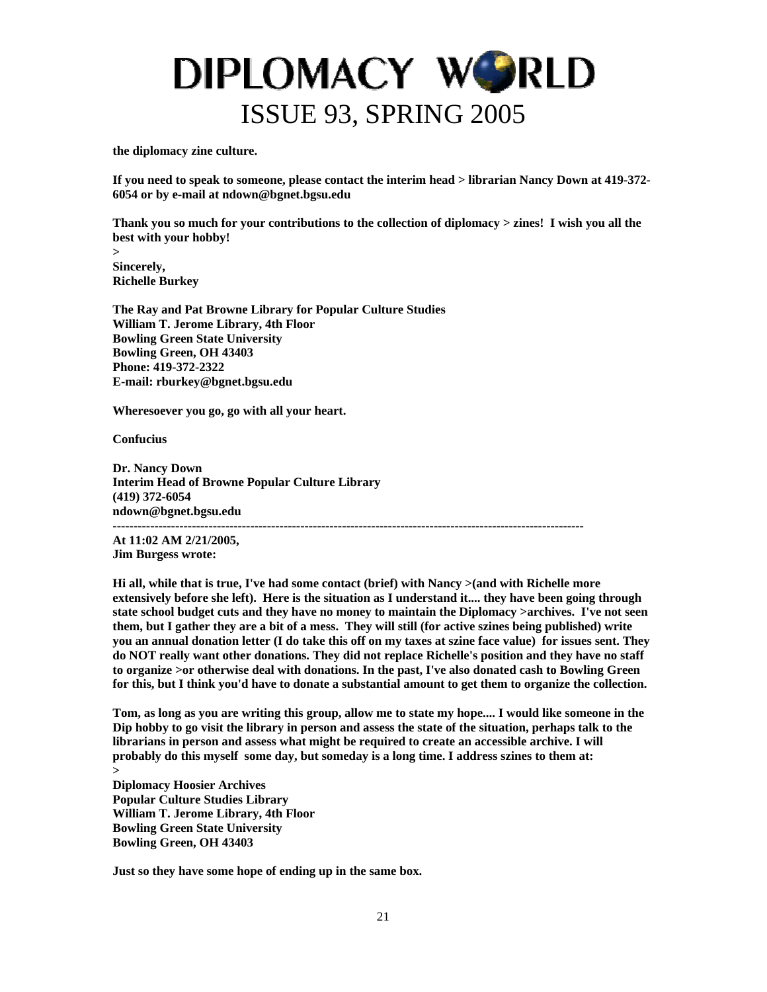

**the diplomacy zine culture.** 

**If you need to speak to someone, please contact the interim head > librarian Nancy Down at 419-372- 6054 or by e-mail at ndown@bgnet.bgsu.edu** 

**Thank you so much for your contributions to the collection of diplomacy > zines! I wish you all the best with your hobby!** 

**> Sincerely, Richelle Burkey** 

**The Ray and Pat Browne Library for Popular Culture Studies William T. Jerome Library, 4th Floor Bowling Green State University Bowling Green, OH 43403 Phone: 419-372-2322 E-mail: rburkey@bgnet.bgsu.edu** 

**Wheresoever you go, go with all your heart.** 

**Confucius** 

**Dr. Nancy Down Interim Head of Browne Popular Culture Library (419) 372-6054 ndown@bgnet.bgsu.edu -----------------------------------------------------------------------------------------------------------------** 

**At 11:02 AM 2/21/2005,** 

**Jim Burgess wrote:** 

**Hi all, while that is true, I've had some contact (brief) with Nancy >(and with Richelle more extensively before she left). Here is the situation as I understand it.... they have been going through state school budget cuts and they have no money to maintain the Diplomacy >archives. I've not seen them, but I gather they are a bit of a mess. They will still (for active szines being published) write you an annual donation letter (I do take this off on my taxes at szine face value) for issues sent. They do NOT really want other donations. They did not replace Richelle's position and they have no staff to organize >or otherwise deal with donations. In the past, I've also donated cash to Bowling Green for this, but I think you'd have to donate a substantial amount to get them to organize the collection.** 

**Tom, as long as you are writing this group, allow me to state my hope.... I would like someone in the Dip hobby to go visit the library in person and assess the state of the situation, perhaps talk to the librarians in person and assess what might be required to create an accessible archive. I will probably do this myself some day, but someday is a long time. I address szines to them at:** 

**> Diplomacy Hoosier Archives Popular Culture Studies Library William T. Jerome Library, 4th Floor Bowling Green State University Bowling Green, OH 43403** 

**Just so they have some hope of ending up in the same box.**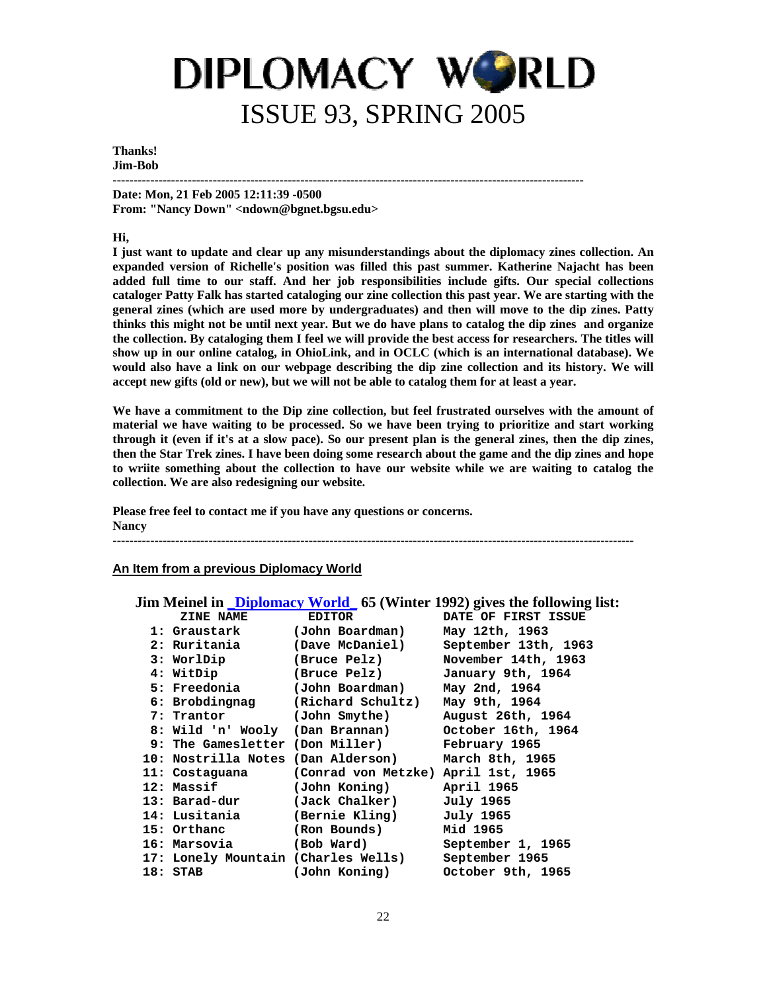#### **Thanks! Jim-Bob**

**-----------------------------------------------------------------------------------------------------------------** 

**Date: Mon, 21 Feb 2005 12:11:39 -0500 From: "Nancy Down" <ndown@bgnet.bgsu.edu>** 

#### **Hi,**

**I just want to update and clear up any misunderstandings about the diplomacy zines collection. An expanded version of Richelle's position was filled this past summer. Katherine Najacht has been added full time to our staff. And her job responsibilities include gifts. Our special collections cataloger Patty Falk has started cataloging our zine collection this past year. We are starting with the general zines (which are used more by undergraduates) and then will move to the dip zines. Patty thinks this might not be until next year. But we do have plans to catalog the dip zines and organize the collection. By cataloging them I feel we will provide the best access for researchers. The titles will show up in our online catalog, in OhioLink, and in OCLC (which is an international database). We would also have a link on our webpage describing the dip zine collection and its history. We will accept new gifts (old or new), but we will not be able to catalog them for at least a year.** 

**We have a commitment to the Dip zine collection, but feel frustrated ourselves with the amount of material we have waiting to be processed. So we have been trying to prioritize and start working through it (even if it's at a slow pace). So our present plan is the general zines, then the dip zines, then the Star Trek zines. I have been doing some research about the game and the dip zines and hope to wriite something about the collection to have our website while we are waiting to catalog the collection. We are also redesigning our website.** 

**Please free feel to contact me if you have any questions or concerns. Nancy** 

**-----------------------------------------------------------------------------------------------------------------------------** 

#### **An Item from a previous Diplomacy World**

|               |                                                    | Jim Meinel in <i>Diplomacy World</i> 65 (Winter 1992) gives the following list: |
|---------------|----------------------------------------------------|---------------------------------------------------------------------------------|
| ZINE NAME     | <b>EDITOR</b>                                      | DATE OF FIRST ISSUE                                                             |
| 1: Graustark  | (John Boardman)                                    | May 12th, 1963                                                                  |
| 2: Ruritania  |                                                    | (Dave McDaniel) September 13th, 1963                                            |
|               |                                                    | 3: WorlDip (Bruce Pelz) November 14th, 1963                                     |
| 4: WitDip     | (Bruce Pelz) January 9th, 1964                     |                                                                                 |
| 5: Freedonia  | (John Boardman)                                    | May 2nd, 1964                                                                   |
|               | 6: Brobdingnag (Richard Schultz)                   | May 9th, 1964                                                                   |
| 7: Trantor    | (John Smythe)                                      | August 26th, 1964                                                               |
|               | 8: Wild 'n' Wooly (Dan Brannan)                    | October 16th, 1964                                                              |
|               | 9: The Gamesletter (Don Miller)                    | February 1965                                                                   |
|               | 10: Nostrilla Notes (Dan Alderson) March 8th, 1965 |                                                                                 |
|               | 11: Costaguana (Conrad von Metzke) April 1st, 1965 |                                                                                 |
| 12: Massif    | (John Koning)                                      | April 1965                                                                      |
| 13: Barad-dur | (Jack Chalker)                                     | July 1965                                                                       |
| 14: Lusitania | (Bernie Kling)                                     | July 1965                                                                       |
| 15: Orthanc   | (Ron Bounds)                                       | Mid 1965                                                                        |
| 16: Marsovia  | (Bob Ward) September 1, 1965                       |                                                                                 |
|               | 17: Lonely Mountain (Charles Wells) September 1965 |                                                                                 |
| $18:$ STAB    | (John Koning)                                      | October 9th, 1965                                                               |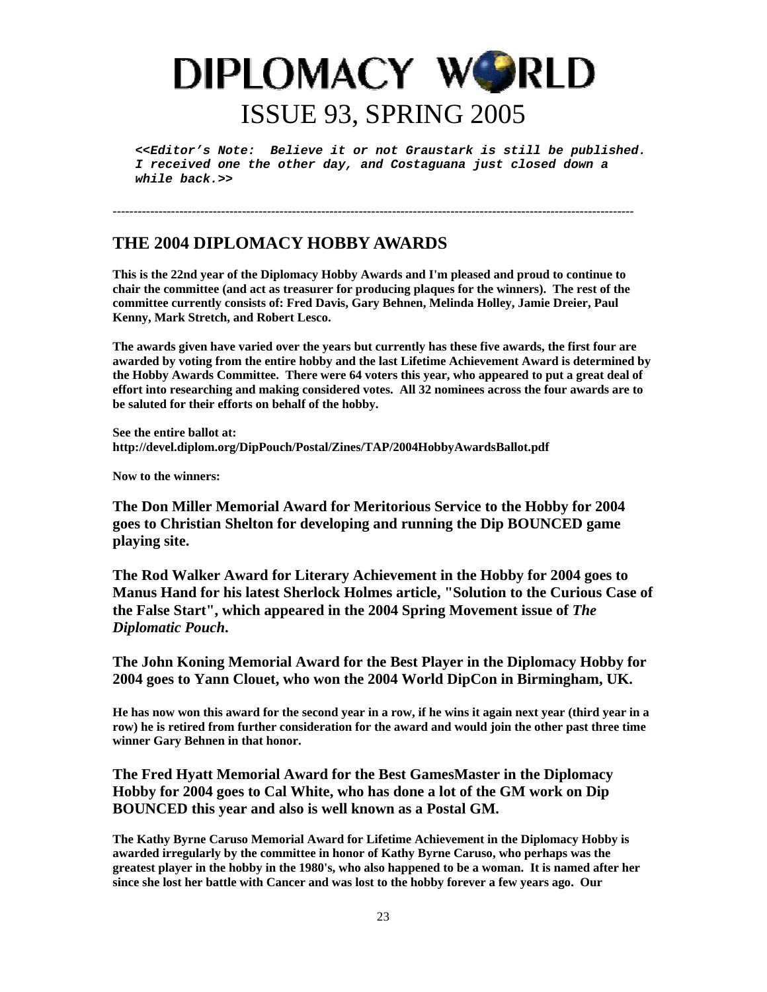*<<Editor's Note: Believe it or not Graustark is still be published. I received one the other day, and Costaguana just closed down a while back.>>* 

### **THE 2004 DIPLOMACY HOBBY AWARDS**

**This is the 22nd year of the Diplomacy Hobby Awards and I'm pleased and proud to continue to chair the committee (and act as treasurer for producing plaques for the winners). The rest of the committee currently consists of: Fred Davis, Gary Behnen, Melinda Holley, Jamie Dreier, Paul Kenny, Mark Stretch, and Robert Lesco.** 

**-----------------------------------------------------------------------------------------------------------------------------** 

**The awards given have varied over the years but currently has these five awards, the first four are awarded by voting from the entire hobby and the last Lifetime Achievement Award is determined by the Hobby Awards Committee. There were 64 voters this year, who appeared to put a great deal of effort into researching and making considered votes. All 32 nominees across the four awards are to be saluted for their efforts on behalf of the hobby.** 

**See the entire ballot at: http://devel.diplom.org/DipPouch/Postal/Zines/TAP/2004HobbyAwardsBallot.pdf** 

**Now to the winners:** 

**The Don Miller Memorial Award for Meritorious Service to the Hobby for 2004 goes to Christian Shelton for developing and running the Dip BOUNCED game playing site.** 

**The Rod Walker Award for Literary Achievement in the Hobby for 2004 goes to Manus Hand for his latest Sherlock Holmes article, "Solution to the Curious Case of the False Start", which appeared in the 2004 Spring Movement issue of** *The Diplomatic Pouch***.** 

**The John Koning Memorial Award for the Best Player in the Diplomacy Hobby for 2004 goes to Yann Clouet, who won the 2004 World DipCon in Birmingham, UK.** 

**He has now won this award for the second year in a row, if he wins it again next year (third year in a row) he is retired from further consideration for the award and would join the other past three time winner Gary Behnen in that honor.** 

**The Fred Hyatt Memorial Award for the Best GamesMaster in the Diplomacy Hobby for 2004 goes to Cal White, who has done a lot of the GM work on Dip BOUNCED this year and also is well known as a Postal GM.** 

**The Kathy Byrne Caruso Memorial Award for Lifetime Achievement in the Diplomacy Hobby is awarded irregularly by the committee in honor of Kathy Byrne Caruso, who perhaps was the greatest player in the hobby in the 1980's, who also happened to be a woman. It is named after her since she lost her battle with Cancer and was lost to the hobby forever a few years ago. Our**